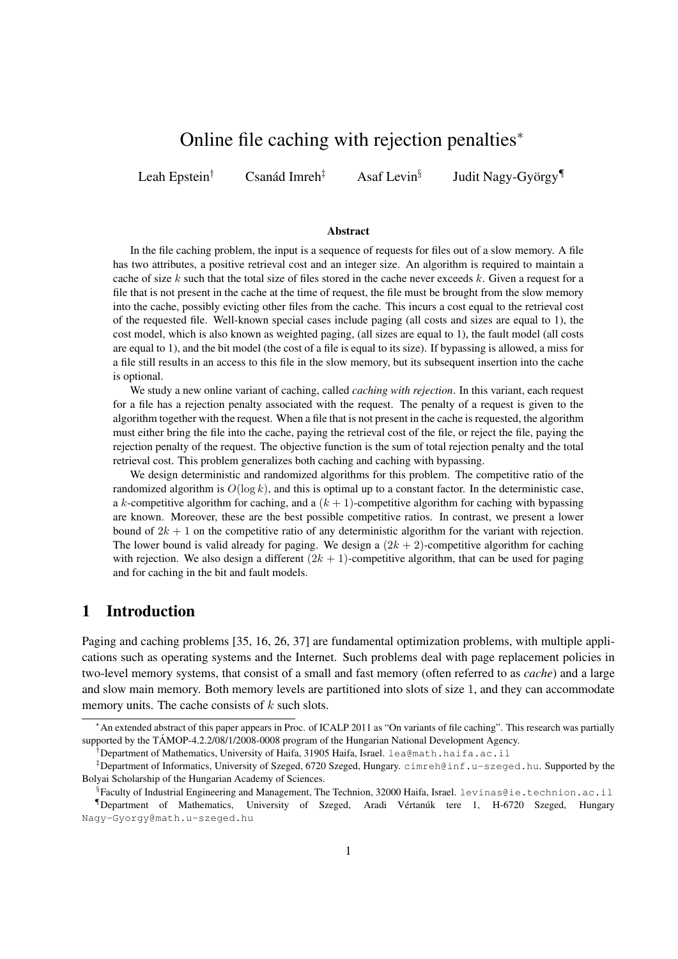# Online file caching with rejection penalties*<sup>∗</sup>*

Leah Epstein<sup>†</sup> Csanád Imreh<sup>‡</sup>

*‡* Asaf Levin*§*

Judit Nagy-Gyorgy ¨ *¶*

#### Abstract

In the file caching problem, the input is a sequence of requests for files out of a slow memory. A file has two attributes, a positive retrieval cost and an integer size. An algorithm is required to maintain a cache of size *k* such that the total size of files stored in the cache never exceeds *k*. Given a request for a file that is not present in the cache at the time of request, the file must be brought from the slow memory into the cache, possibly evicting other files from the cache. This incurs a cost equal to the retrieval cost of the requested file. Well-known special cases include paging (all costs and sizes are equal to 1), the cost model, which is also known as weighted paging, (all sizes are equal to 1), the fault model (all costs are equal to 1), and the bit model (the cost of a file is equal to its size). If bypassing is allowed, a miss for a file still results in an access to this file in the slow memory, but its subsequent insertion into the cache is optional.

We study a new online variant of caching, called *caching with rejection*. In this variant, each request for a file has a rejection penalty associated with the request. The penalty of a request is given to the algorithm together with the request. When a file that is not present in the cache is requested, the algorithm must either bring the file into the cache, paying the retrieval cost of the file, or reject the file, paying the rejection penalty of the request. The objective function is the sum of total rejection penalty and the total retrieval cost. This problem generalizes both caching and caching with bypassing.

We design deterministic and randomized algorithms for this problem. The competitive ratio of the randomized algorithm is  $O(\log k)$ , and this is optimal up to a constant factor. In the deterministic case, a  $k$ -competitive algorithm for caching, and a  $(k + 1)$ -competitive algorithm for caching with bypassing are known. Moreover, these are the best possible competitive ratios. In contrast, we present a lower bound of  $2k + 1$  on the competitive ratio of any deterministic algorithm for the variant with rejection. The lower bound is valid already for paging. We design a  $(2k + 2)$ -competitive algorithm for caching with rejection. We also design a different  $(2k + 1)$ -competitive algorithm, that can be used for paging and for caching in the bit and fault models.

# 1 Introduction

Paging and caching problems [35, 16, 26, 37] are fundamental optimization problems, with multiple applications such as operating systems and the Internet. Such problems deal with page replacement policies in two-level memory systems, that consist of a small and fast memory (often referred to as *cache*) and a large and slow main memory. Both memory levels are partitioned into slots of size 1, and they can accommodate memory units. The cache consists of *k* such slots.

*<sup>∗</sup>*An extended abstract of this paper appears in Proc. of ICALP 2011 as "On variants of file caching". This research was partially supported by the TÁMOP-4.2.2/08/1/2008-0008 program of the Hungarian National Development Agency.

*<sup>†</sup>*Department of Mathematics, University of Haifa, 31905 Haifa, Israel. lea@math.haifa.ac.il

*<sup>‡</sup>*Department of Informatics, University of Szeged, 6720 Szeged, Hungary. cimreh@inf.u-szeged.hu. Supported by the Bolyai Scholarship of the Hungarian Academy of Sciences.

*<sup>§</sup>* Faculty of Industrial Engineering and Management, The Technion, 32000 Haifa, Israel. levinas@ie.technion.ac.il <sup>¶</sup>Department of Mathematics, University of Szeged, Aradi Vértanúk tere 1, H-6720 Szeged, Hungary Nagy-Gyorgy@math.u-szeged.hu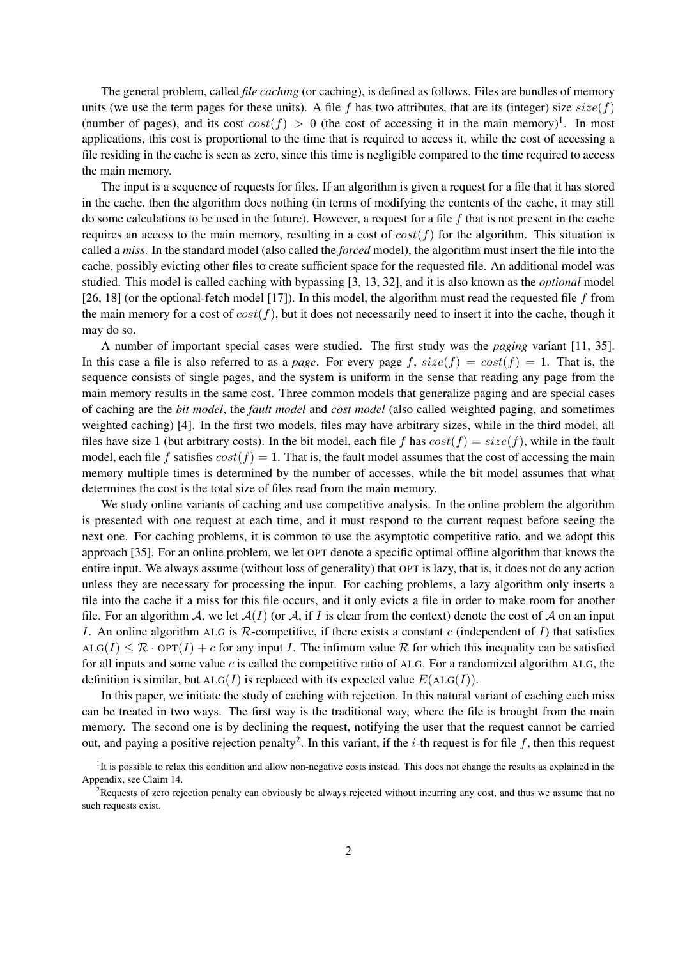The general problem, called *file caching* (or caching), is defined as follows. Files are bundles of memory units (we use the term pages for these units). A file  $f$  has two attributes, that are its (integer) size  $size(f)$ (number of pages), and its cost  $cost(f) > 0$  (the cost of accessing it in the main memory)<sup>1</sup>. In most applications, this cost is proportional to the time that is required to access it, while the cost of accessing a file residing in the cache is seen as zero, since this time is negligible compared to the time required to access the main memory.

The input is a sequence of requests for files. If an algorithm is given a request for a file that it has stored in the cache, then the algorithm does nothing (in terms of modifying the contents of the cache, it may still do some calculations to be used in the future). However, a request for a file *f* that is not present in the cache requires an access to the main memory, resulting in a cost of  $cost(f)$  for the algorithm. This situation is called a *miss*. In the standard model (also called the *forced* model), the algorithm must insert the file into the cache, possibly evicting other files to create sufficient space for the requested file. An additional model was studied. This model is called caching with bypassing [3, 13, 32], and it is also known as the *optional* model [26, 18] (or the optional-fetch model [17]). In this model, the algorithm must read the requested file *f* from the main memory for a cost of  $cost(f)$ , but it does not necessarily need to insert it into the cache, though it may do so.

A number of important special cases were studied. The first study was the *paging* variant [11, 35]. In this case a file is also referred to as a *page*. For every page  $f$ ,  $size(f) = cost(f) = 1$ . That is, the sequence consists of single pages, and the system is uniform in the sense that reading any page from the main memory results in the same cost. Three common models that generalize paging and are special cases of caching are the *bit model*, the *fault model* and *cost model* (also called weighted paging, and sometimes weighted caching) [4]. In the first two models, files may have arbitrary sizes, while in the third model, all files have size 1 (but arbitrary costs). In the bit model, each file f has  $cost(f) = size(f)$ , while in the fault model, each file f satisfies  $cost(f) = 1$ . That is, the fault model assumes that the cost of accessing the main memory multiple times is determined by the number of accesses, while the bit model assumes that what determines the cost is the total size of files read from the main memory.

We study online variants of caching and use competitive analysis. In the online problem the algorithm is presented with one request at each time, and it must respond to the current request before seeing the next one. For caching problems, it is common to use the asymptotic competitive ratio, and we adopt this approach [35]. For an online problem, we let OPT denote a specific optimal offline algorithm that knows the entire input. We always assume (without loss of generality) that OPT is lazy, that is, it does not do any action unless they are necessary for processing the input. For caching problems, a lazy algorithm only inserts a file into the cache if a miss for this file occurs, and it only evicts a file in order to make room for another file. For an algorithm *A*, we let  $A(I)$  (or *A*, if *I* is clear from the context) denote the cost of *A* on an input *I*. An online algorithm ALG is *R*-competitive, if there exists a constant *c* (independent of *I*) that satisfies  $ALG(I) \leq R \cdot OPT(I) + c$  for any input *I*. The infimum value R for which this inequality can be satisfied for all inputs and some value *c* is called the competitive ratio of ALG. For a randomized algorithm ALG, the definition is similar, but  $ALG(I)$  is replaced with its expected value  $E(ALG(I))$ .

In this paper, we initiate the study of caching with rejection. In this natural variant of caching each miss can be treated in two ways. The first way is the traditional way, where the file is brought from the main memory. The second one is by declining the request, notifying the user that the request cannot be carried out, and paying a positive rejection penalty<sup>2</sup>. In this variant, if the *i*-th request is for file  $f$ , then this request

<sup>&</sup>lt;sup>1</sup>It is possible to relax this condition and allow non-negative costs instead. This does not change the results as explained in the Appendix, see Claim 14.

<sup>&</sup>lt;sup>2</sup>Requests of zero rejection penalty can obviously be always rejected without incurring any cost, and thus we assume that no such requests exist.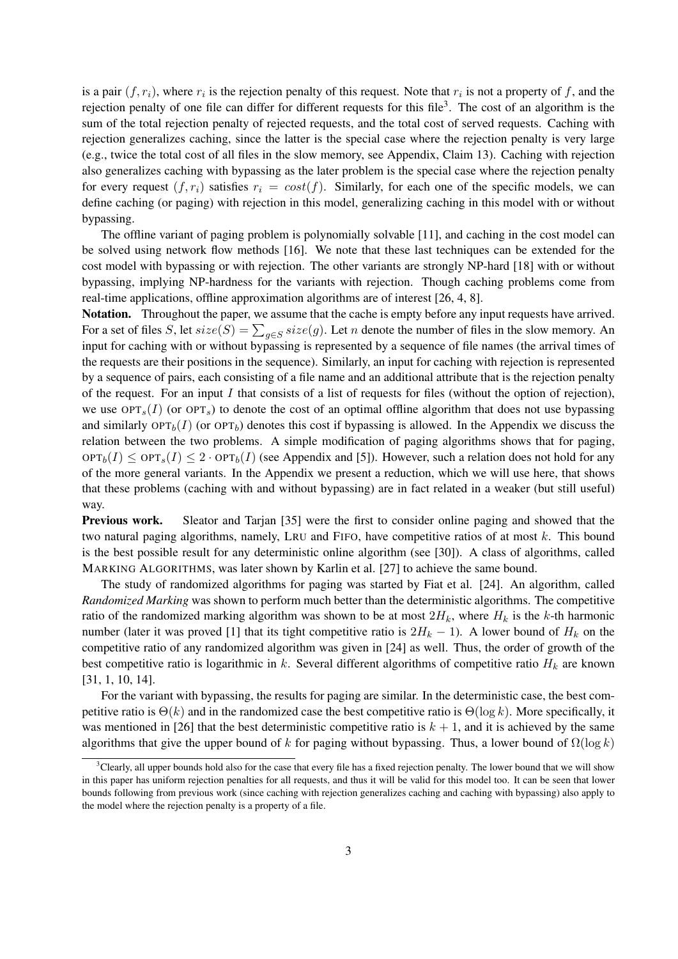is a pair  $(f, r_i)$ , where  $r_i$  is the rejection penalty of this request. Note that  $r_i$  is not a property of  $f$ , and the rejection penalty of one file can differ for different requests for this file<sup>3</sup>. The cost of an algorithm is the sum of the total rejection penalty of rejected requests, and the total cost of served requests. Caching with rejection generalizes caching, since the latter is the special case where the rejection penalty is very large (e.g., twice the total cost of all files in the slow memory, see Appendix, Claim 13). Caching with rejection also generalizes caching with bypassing as the later problem is the special case where the rejection penalty for every request  $(f, r_i)$  satisfies  $r_i = cost(f)$ . Similarly, for each one of the specific models, we can define caching (or paging) with rejection in this model, generalizing caching in this model with or without bypassing.

The offline variant of paging problem is polynomially solvable [11], and caching in the cost model can be solved using network flow methods [16]. We note that these last techniques can be extended for the cost model with bypassing or with rejection. The other variants are strongly NP-hard [18] with or without bypassing, implying NP-hardness for the variants with rejection. Though caching problems come from real-time applications, offline approximation algorithms are of interest [26, 4, 8].

Notation. Throughout the paper, we assume that the cache is empty before any input requests have arrived. For a set of files *S*, let  $size(S) = \sum_{g \in S} size(g)$ . Let *n* denote the number of files in the slow memory. An input for caching with or without bypassing is represented by a sequence of file names (the arrival times of the requests are their positions in the sequence). Similarly, an input for caching with rejection is represented by a sequence of pairs, each consisting of a file name and an additional attribute that is the rejection penalty of the request. For an input *I* that consists of a list of requests for files (without the option of rejection), we use  $\text{OPT}_s(I)$  (or  $\text{OPT}_s$ ) to denote the cost of an optimal offline algorithm that does not use bypassing and similarly  $OPT_b(I)$  (or  $OPT_b$ ) denotes this cost if bypassing is allowed. In the Appendix we discuss the relation between the two problems. A simple modification of paging algorithms shows that for paging,  $\text{OPT}_b(I) \leq \text{OPT}_s(I) \leq 2 \cdot \text{OPT}_b(I)$  (see Appendix and [5]). However, such a relation does not hold for any of the more general variants. In the Appendix we present a reduction, which we will use here, that shows that these problems (caching with and without bypassing) are in fact related in a weaker (but still useful) way.

Previous work. Sleator and Tarjan [35] were the first to consider online paging and showed that the two natural paging algorithms, namely, LRU and FIFO, have competitive ratios of at most *k*. This bound is the best possible result for any deterministic online algorithm (see [30]). A class of algorithms, called MARKING ALGORITHMS, was later shown by Karlin et al. [27] to achieve the same bound.

The study of randomized algorithms for paging was started by Fiat et al. [24]. An algorithm, called *Randomized Marking* was shown to perform much better than the deterministic algorithms. The competitive ratio of the randomized marking algorithm was shown to be at most  $2H_k$ , where  $H_k$  is the *k*-th harmonic number (later it was proved [1] that its tight competitive ratio is  $2H_k - 1$ ). A lower bound of  $H_k$  on the competitive ratio of any randomized algorithm was given in [24] as well. Thus, the order of growth of the best competitive ratio is logarithmic in *k*. Several different algorithms of competitive ratio  $H_k$  are known [31, 1, 10, 14].

For the variant with bypassing, the results for paging are similar. In the deterministic case, the best competitive ratio is Θ(*k*) and in the randomized case the best competitive ratio is Θ(log *k*). More specifically, it was mentioned in [26] that the best deterministic competitive ratio is  $k + 1$ , and it is achieved by the same algorithms that give the upper bound of *k* for paging without bypassing. Thus, a lower bound of  $\Omega(\log k)$ 

 $3$ Clearly, all upper bounds hold also for the case that every file has a fixed rejection penalty. The lower bound that we will show in this paper has uniform rejection penalties for all requests, and thus it will be valid for this model too. It can be seen that lower bounds following from previous work (since caching with rejection generalizes caching and caching with bypassing) also apply to the model where the rejection penalty is a property of a file.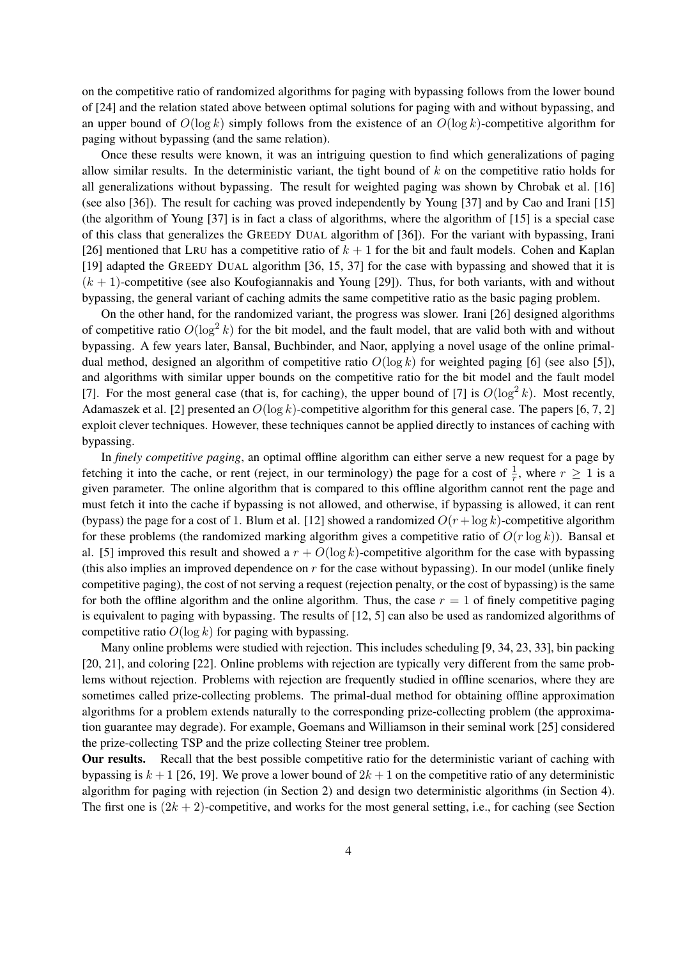on the competitive ratio of randomized algorithms for paging with bypassing follows from the lower bound of [24] and the relation stated above between optimal solutions for paging with and without bypassing, and an upper bound of  $O(\log k)$  simply follows from the existence of an  $O(\log k)$ -competitive algorithm for paging without bypassing (and the same relation).

Once these results were known, it was an intriguing question to find which generalizations of paging allow similar results. In the deterministic variant, the tight bound of *k* on the competitive ratio holds for all generalizations without bypassing. The result for weighted paging was shown by Chrobak et al. [16] (see also [36]). The result for caching was proved independently by Young [37] and by Cao and Irani [15] (the algorithm of Young [37] is in fact a class of algorithms, where the algorithm of [15] is a special case of this class that generalizes the GREEDY DUAL algorithm of [36]). For the variant with bypassing, Irani [26] mentioned that LRU has a competitive ratio of  $k + 1$  for the bit and fault models. Cohen and Kaplan [19] adapted the GREEDY DUAL algorithm [36, 15, 37] for the case with bypassing and showed that it is  $(k + 1)$ -competitive (see also Koufogiannakis and Young [29]). Thus, for both variants, with and without bypassing, the general variant of caching admits the same competitive ratio as the basic paging problem.

On the other hand, for the randomized variant, the progress was slower. Irani [26] designed algorithms of competitive ratio  $O(\log^2 k)$  for the bit model, and the fault model, that are valid both with and without bypassing. A few years later, Bansal, Buchbinder, and Naor, applying a novel usage of the online primaldual method, designed an algorithm of competitive ratio  $O(\log k)$  for weighted paging [6] (see also [5]), and algorithms with similar upper bounds on the competitive ratio for the bit model and the fault model [7]. For the most general case (that is, for caching), the upper bound of [7] is  $O(\log^2 k)$ . Most recently, Adamaszek et al. [2] presented an *O*(log *k*)-competitive algorithm for this general case. The papers [6, 7, 2] exploit clever techniques. However, these techniques cannot be applied directly to instances of caching with bypassing.

In *finely competitive paging*, an optimal offline algorithm can either serve a new request for a page by fetching it into the cache, or rent (reject, in our terminology) the page for a cost of  $\frac{1}{r}$ , where  $r \ge 1$  is a given parameter. The online algorithm that is compared to this offline algorithm cannot rent the page and must fetch it into the cache if bypassing is not allowed, and otherwise, if bypassing is allowed, it can rent (bypass) the page for a cost of 1. Blum et al. [12] showed a randomized  $O(r + \log k)$ -competitive algorithm for these problems (the randomized marking algorithm gives a competitive ratio of  $O(r \log k)$ ). Bansal et al. [5] improved this result and showed a  $r + O(\log k)$ -competitive algorithm for the case with bypassing (this also implies an improved dependence on *r* for the case without bypassing). In our model (unlike finely competitive paging), the cost of not serving a request (rejection penalty, or the cost of bypassing) is the same for both the offline algorithm and the online algorithm. Thus, the case  $r = 1$  of finely competitive paging is equivalent to paging with bypassing. The results of [12, 5] can also be used as randomized algorithms of competitive ratio  $O(\log k)$  for paging with bypassing.

Many online problems were studied with rejection. This includes scheduling [9, 34, 23, 33], bin packing [20, 21], and coloring [22]. Online problems with rejection are typically very different from the same problems without rejection. Problems with rejection are frequently studied in offline scenarios, where they are sometimes called prize-collecting problems. The primal-dual method for obtaining offline approximation algorithms for a problem extends naturally to the corresponding prize-collecting problem (the approximation guarantee may degrade). For example, Goemans and Williamson in their seminal work [25] considered the prize-collecting TSP and the prize collecting Steiner tree problem.

Our results. Recall that the best possible competitive ratio for the deterministic variant of caching with bypassing is  $k + 1$  [26, 19]. We prove a lower bound of  $2k + 1$  on the competitive ratio of any deterministic algorithm for paging with rejection (in Section 2) and design two deterministic algorithms (in Section 4). The first one is  $(2k + 2)$ -competitive, and works for the most general setting, i.e., for caching (see Section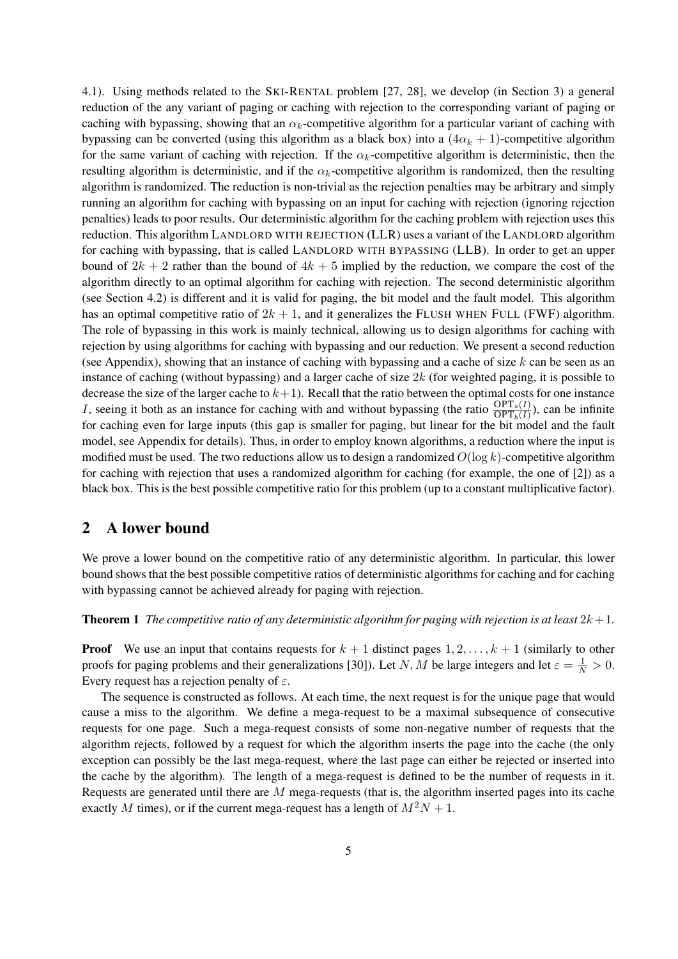4.1). Using methods related to the SKI-RENTAL problem [27, 28], we develop (in Section 3) a general reduction of the any variant of paging or caching with rejection to the corresponding variant of paging or caching with bypassing, showing that an *αk*-competitive algorithm for a particular variant of caching with bypassing can be converted (using this algorithm as a black box) into a  $(4\alpha_k + 1)$ -competitive algorithm for the same variant of caching with rejection. If the  $\alpha_k$ -competitive algorithm is deterministic, then the resulting algorithm is deterministic, and if the  $\alpha_k$ -competitive algorithm is randomized, then the resulting algorithm is randomized. The reduction is non-trivial as the rejection penalties may be arbitrary and simply running an algorithm for caching with bypassing on an input for caching with rejection (ignoring rejection penalties) leads to poor results. Our deterministic algorithm for the caching problem with rejection uses this reduction. This algorithm LANDLORD WITH REJECTION (LLR) uses a variant of the LANDLORD algorithm for caching with bypassing, that is called LANDLORD WITH BYPASSING (LLB). In order to get an upper bound of  $2k + 2$  rather than the bound of  $4k + 5$  implied by the reduction, we compare the cost of the algorithm directly to an optimal algorithm for caching with rejection. The second deterministic algorithm (see Section 4.2) is different and it is valid for paging, the bit model and the fault model. This algorithm has an optimal competitive ratio of  $2k + 1$ , and it generalizes the FLUSH WHEN FULL (FWF) algorithm. The role of bypassing in this work is mainly technical, allowing us to design algorithms for caching with rejection by using algorithms for caching with bypassing and our reduction. We present a second reduction (see Appendix), showing that an instance of caching with bypassing and a cache of size *k* can be seen as an instance of caching (without bypassing) and a larger cache of size 2*k* (for weighted paging, it is possible to decrease the size of the larger cache to  $k+1$ ). Recall that the ratio between the optimal costs for one instance *I*, seeing it both as an instance for caching with and without bypassing (the ratio  $\frac{OPT_s(I)}{OPT_b(I)}$ ), can be infinite for caching even for large inputs (this gap is smaller for paging, but linear for the bit model and the fault model, see Appendix for details). Thus, in order to employ known algorithms, a reduction where the input is modified must be used. The two reductions allow us to design a randomized  $O(\log k)$ -competitive algorithm for caching with rejection that uses a randomized algorithm for caching (for example, the one of [2]) as a black box. This is the best possible competitive ratio for this problem (up to a constant multiplicative factor).

## 2 A lower bound

We prove a lower bound on the competitive ratio of any deterministic algorithm. In particular, this lower bound shows that the best possible competitive ratios of deterministic algorithms for caching and for caching with bypassing cannot be achieved already for paging with rejection.

**Theorem 1** The competitive ratio of any deterministic algorithm for paging with rejection is at least  $2k + 1$ .

**Proof** We use an input that contains requests for  $k + 1$  distinct pages  $1, 2, \ldots, k + 1$  (similarly to other proofs for paging problems and their generalizations [30]). Let *N*, *M* be large integers and let  $\varepsilon = \frac{1}{N} > 0$ . Every request has a rejection penalty of *ε*.

The sequence is constructed as follows. At each time, the next request is for the unique page that would cause a miss to the algorithm. We define a mega-request to be a maximal subsequence of consecutive requests for one page. Such a mega-request consists of some non-negative number of requests that the algorithm rejects, followed by a request for which the algorithm inserts the page into the cache (the only exception can possibly be the last mega-request, where the last page can either be rejected or inserted into the cache by the algorithm). The length of a mega-request is defined to be the number of requests in it. Requests are generated until there are *M* mega-requests (that is, the algorithm inserted pages into its cache exactly *M* times), or if the current mega-request has a length of  $M^2N + 1$ .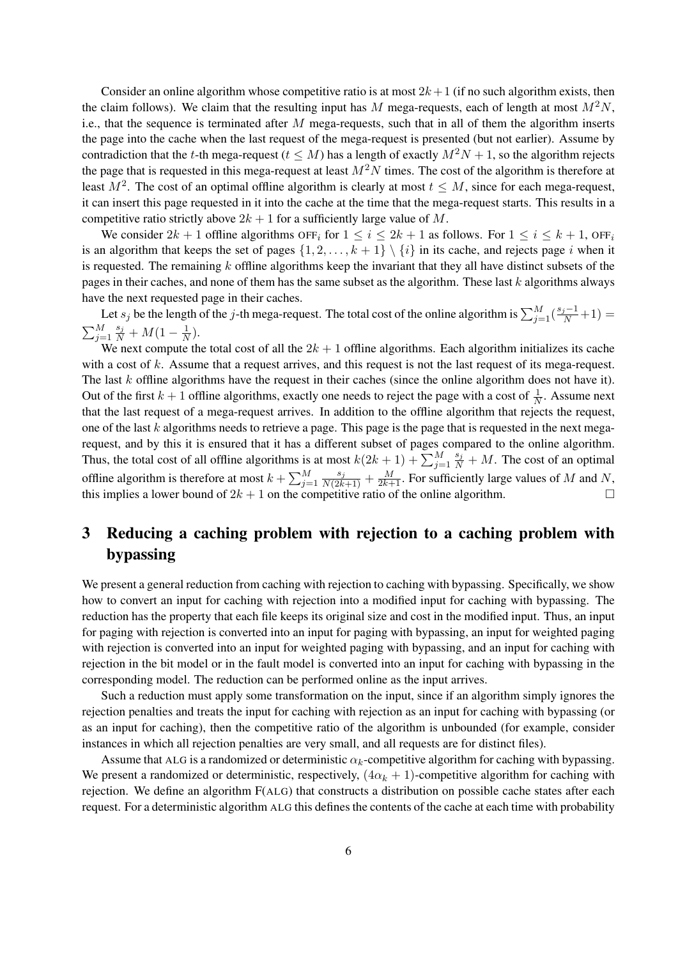Consider an online algorithm whose competitive ratio is at most  $2k+1$  (if no such algorithm exists, then the claim follows). We claim that the resulting input has *M* mega-requests, each of length at most  $M^2N$ , i.e., that the sequence is terminated after *M* mega-requests, such that in all of them the algorithm inserts the page into the cache when the last request of the mega-request is presented (but not earlier). Assume by contradiction that the *t*-th mega-request ( $t < M$ ) has a length of exactly  $M^2N + 1$ , so the algorithm rejects the page that is requested in this mega-request at least  $M^2N$  times. The cost of the algorithm is therefore at least  $M^2$ . The cost of an optimal offline algorithm is clearly at most  $t \leq M$ , since for each mega-request, it can insert this page requested in it into the cache at the time that the mega-request starts. This results in a competitive ratio strictly above  $2k + 1$  for a sufficiently large value of M.

We consider  $2k + 1$  offline algorithms OFF<sub>i</sub> for  $1 \le i \le 2k + 1$  as follows. For  $1 \le i \le k + 1$ , OFF<sub>i</sub> is an algorithm that keeps the set of pages  $\{1, 2, \ldots, k + 1\} \setminus \{i\}$  in its cache, and rejects page *i* when it is requested. The remaining *k* offline algorithms keep the invariant that they all have distinct subsets of the pages in their caches, and none of them has the same subset as the algorithm. These last *k* algorithms always have the next requested page in their caches.

Let *s<sub>j</sub>* be the length of the *j*-th mega-request. The total cost of the online algorithm is  $\sum_{j=1}^{M} \left(\frac{s_j - 1}{N} + 1\right)$  $\sum_{j=1}^{M}$  $\frac{s_j}{N} + M(1 - \frac{1}{N})$  $\frac{1}{N}$ ).

We next compute the total cost of all the  $2k + 1$  offline algorithms. Each algorithm initializes its cache with a cost of k. Assume that a request arrives, and this request is not the last request of its mega-request. The last *k* offline algorithms have the request in their caches (since the online algorithm does not have it). Out of the first  $k + 1$  offline algorithms, exactly one needs to reject the page with a cost of  $\frac{1}{N}$ . Assume next that the last request of a mega-request arrives. In addition to the offline algorithm that rejects the request, one of the last *k* algorithms needs to retrieve a page. This page is the page that is requested in the next megarequest, and by this it is ensured that it has a different subset of pages compared to the online algorithm. Thus, the total cost of all offline algorithms is at most  $k(2k+1) + \sum_{j=1}^{M}$  $\frac{s_j}{N} + M$ . The cost of an optimal offline algorithm is therefore at most  $k + \sum_{j=1}^{M}$  $\frac{s_j}{N(2k+1)} + \frac{M}{2k+1}$ . For sufficiently large values of *M* and *N*, this implies a lower bound of  $2k + 1$  on the competitive ratio of the online algorithm.

# 3 Reducing a caching problem with rejection to a caching problem with bypassing

We present a general reduction from caching with rejection to caching with bypassing. Specifically, we show how to convert an input for caching with rejection into a modified input for caching with bypassing. The reduction has the property that each file keeps its original size and cost in the modified input. Thus, an input for paging with rejection is converted into an input for paging with bypassing, an input for weighted paging with rejection is converted into an input for weighted paging with bypassing, and an input for caching with rejection in the bit model or in the fault model is converted into an input for caching with bypassing in the corresponding model. The reduction can be performed online as the input arrives.

Such a reduction must apply some transformation on the input, since if an algorithm simply ignores the rejection penalties and treats the input for caching with rejection as an input for caching with bypassing (or as an input for caching), then the competitive ratio of the algorithm is unbounded (for example, consider instances in which all rejection penalties are very small, and all requests are for distinct files).

Assume that ALG is a randomized or deterministic *αk*-competitive algorithm for caching with bypassing. We present a randomized or deterministic, respectively,  $(4\alpha_k + 1)$ -competitive algorithm for caching with rejection. We define an algorithm F(ALG) that constructs a distribution on possible cache states after each request. For a deterministic algorithm ALG this defines the contents of the cache at each time with probability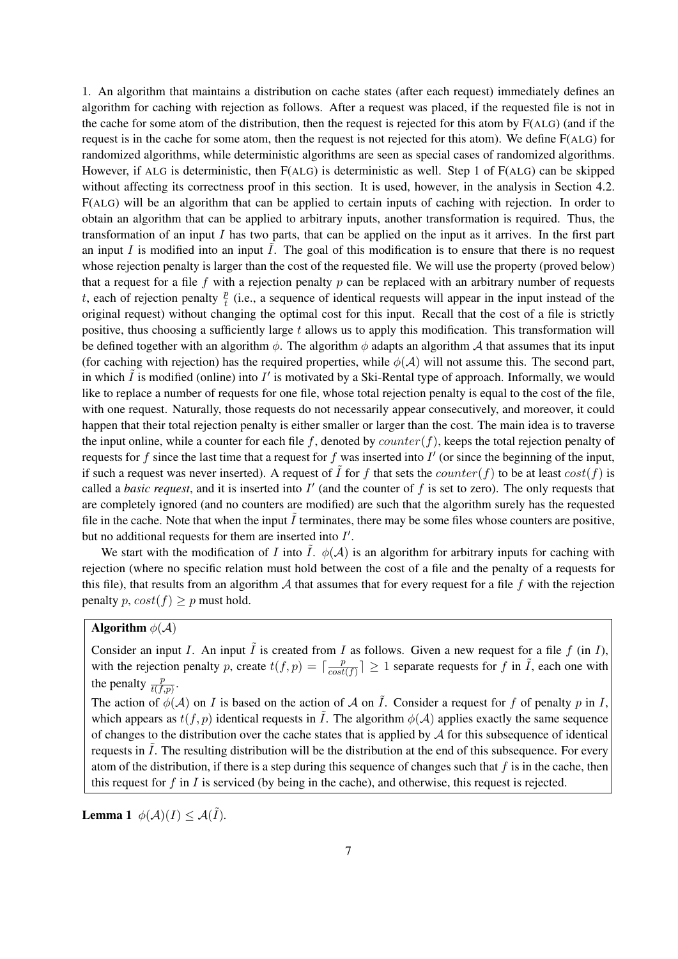1. An algorithm that maintains a distribution on cache states (after each request) immediately defines an algorithm for caching with rejection as follows. After a request was placed, if the requested file is not in the cache for some atom of the distribution, then the request is rejected for this atom by F(ALG) (and if the request is in the cache for some atom, then the request is not rejected for this atom). We define F(ALG) for randomized algorithms, while deterministic algorithms are seen as special cases of randomized algorithms. However, if ALG is deterministic, then F(ALG) is deterministic as well. Step 1 of F(ALG) can be skipped without affecting its correctness proof in this section. It is used, however, in the analysis in Section 4.2. F(ALG) will be an algorithm that can be applied to certain inputs of caching with rejection. In order to obtain an algorithm that can be applied to arbitrary inputs, another transformation is required. Thus, the transformation of an input *I* has two parts, that can be applied on the input as it arrives. In the first part an input  $I$  is modified into an input  $\overline{I}$ . The goal of this modification is to ensure that there is no request whose rejection penalty is larger than the cost of the requested file. We will use the property (proved below) that a request for a file *f* with a rejection penalty *p* can be replaced with an arbitrary number of requests *t*, each of rejection penalty  $\frac{p}{t}$  (i.e., a sequence of identical requests will appear in the input instead of the original request) without changing the optimal cost for this input. Recall that the cost of a file is strictly positive, thus choosing a sufficiently large *t* allows us to apply this modification. This transformation will be defined together with an algorithm  $\phi$ . The algorithm  $\phi$  adapts an algorithm  $\mathcal A$  that assumes that its input (for caching with rejection) has the required properties, while  $\phi(A)$  will not assume this. The second part, in which  $\tilde{I}$  is modified (online) into  $I'$  is motivated by a Ski-Rental type of approach. Informally, we would like to replace a number of requests for one file, whose total rejection penalty is equal to the cost of the file, with one request. Naturally, those requests do not necessarily appear consecutively, and moreover, it could happen that their total rejection penalty is either smaller or larger than the cost. The main idea is to traverse the input online, while a counter for each file *f*, denoted by *counter*(*f*), keeps the total rejection penalty of requests for *f* since the last time that a request for *f* was inserted into *I ′* (or since the beginning of the input, if such a request was never inserted). A request of I for f that sets the  $counter(f)$  to be at least  $cost(f)$  is called a *basic request*, and it is inserted into  $I'$  (and the counter of  $f$  is set to zero). The only requests that are completely ignored (and no counters are modified) are such that the algorithm surely has the requested file in the cache. Note that when the input  $\tilde{I}$  terminates, there may be some files whose counters are positive, but no additional requests for them are inserted into *I ′* .

We start with the modification of *I* into *I*.  $\phi(A)$  is an algorithm for arbitrary inputs for caching with rejection (where no specific relation must hold between the cost of a file and the penalty of a requests for this file), that results from an algorithm *A* that assumes that for every request for a file *f* with the rejection penalty *p*,  $cost(f) \geq p$  must hold.

# Algorithm  $\phi(\mathcal{A})$

Consider an input *I*. An input  $\tilde{I}$  is created from *I* as follows. Given a new request for a file  $f$  (in *I*), with the rejection penalty *p*, create  $t(f, p) = \int \frac{p}{\cos t}$  $\left\lfloor \frac{p}{cost(f)} \right\rfloor \geq 1$  separate requests for *f* in  $\tilde{I}$ , each one with the penalty  $\frac{p}{t(f,p)}$ .

The action of  $\phi(\mathcal{A})$  on *I* is based on the action of  $\mathcal{A}$  on  $\tilde{I}$ . Consider a request for  $f$  of penalty  $p$  in  $I$ , which appears as  $t(f, p)$  identical requests in  $\overline{I}$ . The algorithm  $\phi(\mathcal{A})$  applies exactly the same sequence of changes to the distribution over the cache states that is applied by  $A$  for this subsequence of identical requests in *I*. The resulting distribution will be the distribution at the end of this subsequence. For every atom of the distribution, if there is a step during this sequence of changes such that  $f$  is in the cache, then this request for *f* in *I* is serviced (by being in the cache), and otherwise, this request is rejected.

**Lemma** 1  $\phi(\mathcal{A})(I) \leq \mathcal{A}(\tilde{I})$ *.*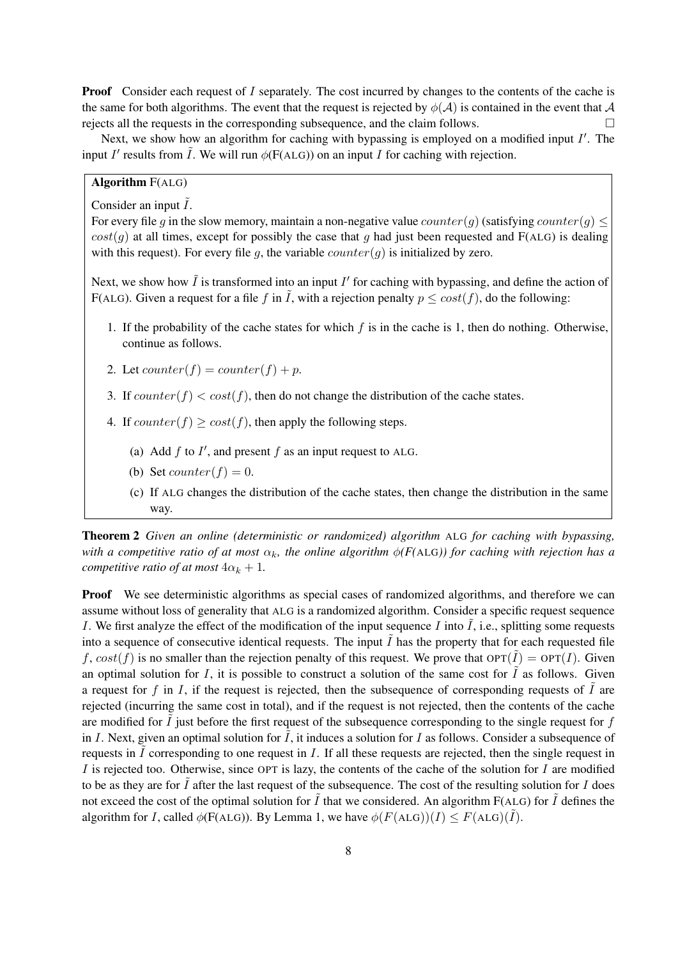**Proof** Consider each request of *I* separately. The cost incurred by changes to the contents of the cache is the same for both algorithms. The event that the request is rejected by  $\phi(\mathcal{A})$  is contained in the event that  $\mathcal A$ rejects all the requests in the corresponding subsequence, and the claim follows.

Next, we show how an algorithm for caching with bypassing is employed on a modified input *I ′* . The input *I'* results from  $\tilde{I}$ . We will run  $\phi$ (F(ALG)) on an input *I* for caching with rejection.

## Algorithm F(ALG)

Consider an input  $\tilde{I}$ .

For every file *g* in the slow memory, maintain a non-negative value *counter*(*g*) (satisfying *counter*(*g*)  $\leq$  $cost(g)$  at all times, except for possibly the case that *g* had just been requested and  $F(ALG)$  is dealing with this request). For every file  $q$ , the variable  $counter(q)$  is initialized by zero.

Next, we show how  $\tilde{I}$  is transformed into an input  $I'$  for caching with bypassing, and define the action of F(ALG). Given a request for a file f in  $\tilde{I}$ , with a rejection penalty  $p \leq cost(f)$ , do the following:

- 1. If the probability of the cache states for which *f* is in the cache is 1, then do nothing. Otherwise, continue as follows.
- 2. Let  $counter(f) = counter(f) + p$ .
- 3. If  $counter(f) < cost(f)$ , then do not change the distribution of the cache states.
- 4. If  $counter(f) \geq cost(f)$ , then apply the following steps.
	- (a) Add  $f$  to  $I'$ , and present  $f$  as an input request to ALG.
	- (b) Set *counter*( $f$ ) = 0.
	- (c) If ALG changes the distribution of the cache states, then change the distribution in the same way.

Theorem 2 *Given an online (deterministic or randomized) algorithm* ALG *for caching with bypassing, with a competitive ratio of at most*  $\alpha_k$ *, the online algorithm*  $\phi(F(A \cup G))$  *for caching with rejection has a competitive ratio of at most*  $4\alpha_k + 1$ .

**Proof** We see deterministic algorithms as special cases of randomized algorithms, and therefore we can assume without loss of generality that ALG is a randomized algorithm. Consider a specific request sequence *I*. We first analyze the effect of the modification of the input sequence *I* into *I*, i.e., splitting some requests into a sequence of consecutive identical requests. The input  $\tilde{I}$  has the property that for each requested file  $f$ ,  $cost(f)$  is no smaller than the rejection penalty of this request. We prove that  $OPT(\tilde{I}) = OPT(I)$ . Given an optimal solution for *I*, it is possible to construct a solution of the same cost for  $\overline{I}$  as follows. Given a request for  $f$  in  $I$ , if the request is rejected, then the subsequence of corresponding requests of  $I$  are rejected (incurring the same cost in total), and if the request is not rejected, then the contents of the cache are modified for  $\tilde{I}$  just before the first request of the subsequence corresponding to the single request for  $f$ in *I*. Next, given an optimal solution for  $\tilde{I}$ , it induces a solution for *I* as follows. Consider a subsequence of requests in  $\tilde{I}$  corresponding to one request in  $I$ . If all these requests are rejected, then the single request in *I* is rejected too. Otherwise, since OPT is lazy, the contents of the cache of the solution for *I* are modified to be as they are for  $\tilde{I}$  after the last request of the subsequence. The cost of the resulting solution for  $I$  does not exceed the cost of the optimal solution for  $\tilde{I}$  that we considered. An algorithm F(ALG) for  $\tilde{I}$  defines the algorithm for *I*, called  $\phi(F(A \cup G))$ . By Lemma 1, we have  $\phi(F(A \cup G))(I) \leq F(A \cup G)(I)$ .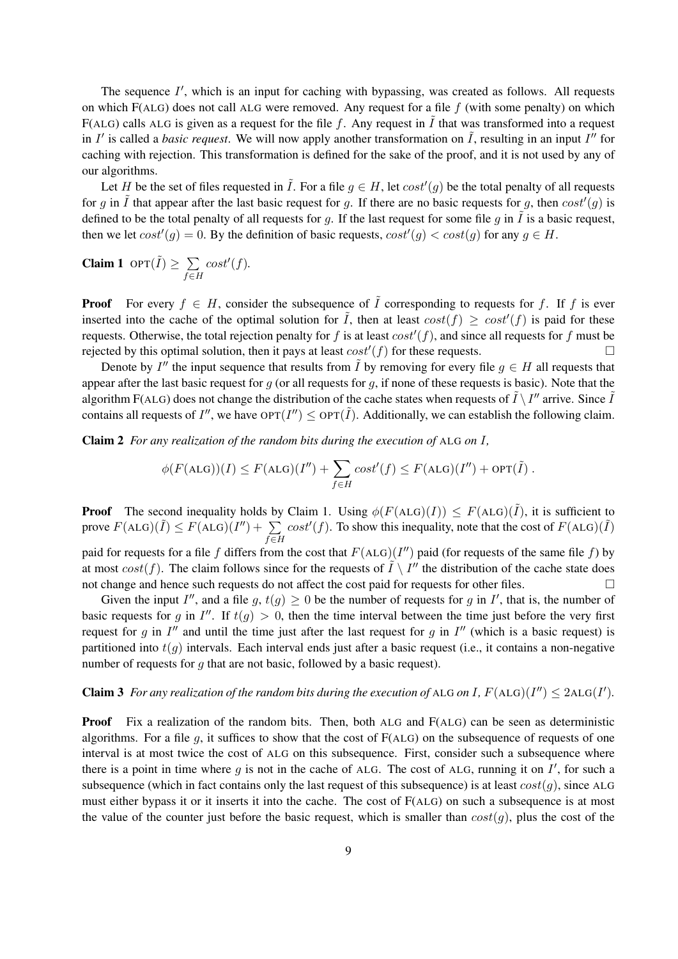The sequence I', which is an input for caching with bypassing, was created as follows. All requests on which F(ALG) does not call ALG were removed. Any request for a file *f* (with some penalty) on which F(ALG) calls ALG is given as a request for the file  $f$ . Any request in  $\tilde{I}$  that was transformed into a request in *I'* is called a *basic request*. We will now apply another transformation on  $\tilde{I}$ , resulting in an input *I''* for caching with rejection. This transformation is defined for the sake of the proof, and it is not used by any of our algorithms.

Let *H* be the set of files requested in  $\tilde{I}$ . For a file  $g \in H$ , let  $cost'(g)$  be the total penalty of all requests for *g* in  $\tilde{I}$  that appear after the last basic request for *g*. If there are no basic requests for *g*, then  $cost'(g)$  is defined to be the total penalty of all requests for *g*. If the last request for some file *g* in  $\tilde{I}$  is a basic request, then we let  $cost'(g) = 0$ . By the definition of basic requests,  $cost'(g) < cost(g)$  for any  $g \in H$ .

**Claim 1** 
$$
\text{OPT}(\tilde{I}) \ge \sum_{f \in H} \text{cost}'(f).
$$

**Proof** For every  $f \in H$ , consider the subsequence of  $\tilde{I}$  corresponding to requests for f. If f is ever inserted into the cache of the optimal solution for  $\tilde{I}$ , then at least  $cost(f) \geq cost'(f)$  is paid for these requests. Otherwise, the total rejection penalty for *f* is at least *cost′* (*f*), and since all requests for *f* must be rejected by this optimal solution, then it pays at least  $cost'(f)$  for these requests.

Denote by *I*<sup>*′′*</sup> the input sequence that results from  $\tilde{I}$  by removing for every file  $g \in H$  all requests that appear after the last basic request for *g* (or all requests for *g*, if none of these requests is basic). Note that the algorithm F(ALG) does not change the distribution of the cache states when requests of  $\tilde{I} \setminus I''$  arrive. Since  $\tilde{I}$ contains all requests of *I''*, we have  $\text{OPT}(I'') \leq \text{OPT}(\tilde{I})$ . Additionally, we can establish the following claim.

Claim 2 *For any realization of the random bits during the execution of* ALG *on I,*

$$
\phi(F(\text{ALG}))(I) \leq F(\text{ALG})(I'') + \sum_{f \in H} cost'(f) \leq F(\text{ALG})(I'') + \text{OPT}(\tilde{I}) .
$$

**Proof** The second inequality holds by Claim 1. Using  $\phi(F(A \cup G)(I)) \leq F(A \cup G)(I)$ , it is sufficient to prove  $F(ALG)(\tilde{I}) \leq F(ALG)(I'') + \sum$ *f∈H*  $cost'(f)$ . To show this inequality, note that the cost of  $F(ALG)(\tilde{I})$ 

paid for requests for a file *f* differs from the cost that  $F(ALG)(I'')$  paid (for requests of the same file *f*) by at most  $cost(f)$ . The claim follows since for the requests of  $\tilde{I} \setminus I''$  the distribution of the cache state does not change and hence such requests do not affect the cost paid for requests for other files.

Given the input *I''*, and a file  $g, t(g) \geq 0$  be the number of requests for  $g$  in *I'*, that is, the number of basic requests for *g* in *I''*. If  $t(g) > 0$ , then the time interval between the time just before the very first request for  $g$  in  $I''$  and until the time just after the last request for  $g$  in  $I''$  (which is a basic request) is partitioned into  $t(q)$  intervals. Each interval ends just after a basic request (i.e., it contains a non-negative number of requests for *g* that are not basic, followed by a basic request).

#### **Claim 3** For any realization of the random bits during the execution of ALG on I,  $F(\text{ALG})(I'') \leq 2\text{ALG}(I').$

**Proof** Fix a realization of the random bits. Then, both ALG and F(ALG) can be seen as deterministic algorithms. For a file *g*, it suffices to show that the cost of F(ALG) on the subsequence of requests of one interval is at most twice the cost of ALG on this subsequence. First, consider such a subsequence where there is a point in time where *g* is not in the cache of ALG. The cost of ALG, running it on *I ′* , for such a subsequence (which in fact contains only the last request of this subsequence) is at least  $cost(q)$ , since ALG must either bypass it or it inserts it into the cache. The cost of F(ALG) on such a subsequence is at most the value of the counter just before the basic request, which is smaller than  $cost(q)$ , plus the cost of the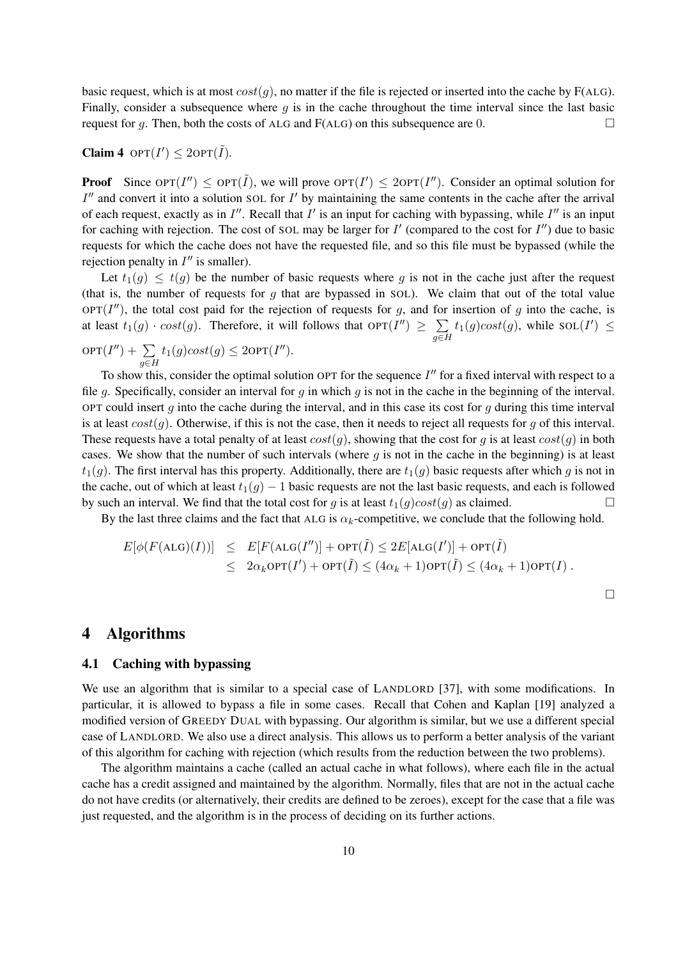basic request, which is at most  $cost(q)$ , no matter if the file is rejected or inserted into the cache by  $F(ALG)$ . Finally, consider a subsequence where *g* is in the cache throughout the time interval since the last basic request for *g*. Then, both the costs of ALG and  $F(ALG)$  on this subsequence are 0.

Claim 4  $\text{OPT}(I') \leq 2\text{OPT}(\tilde{I})$ *.* 

**Proof** Since OPT(*I''*)  $\le$  OPT( $\tilde{I}$ ), we will prove OPT(*I''*)  $\le$  2OPT(*I''*). Consider an optimal solution for *I ′′* and convert it into a solution SOL for *I ′* by maintaining the same contents in the cache after the arrival of each request, exactly as in *I ′′*. Recall that *I ′* is an input for caching with bypassing, while *I ′′* is an input for caching with rejection. The cost of SOL may be larger for *I ′* (compared to the cost for *I ′′*) due to basic requests for which the cache does not have the requested file, and so this file must be bypassed (while the rejection penalty in *I ′′* is smaller).

Let  $t_1(g) \leq t(g)$  be the number of basic requests where g is not in the cache just after the request (that is, the number of requests for *g* that are bypassed in SOL). We claim that out of the total value  $OPT(I'')$ , the total cost paid for the rejection of requests for *g*, and for insertion of *g* into the cache, is at least  $t_1(g) \cdot cost(g)$ . Therefore, it will follows that  $OPT(I'') \geq \sum$ *g∈H*  $t_1(g) \cos t(g)$ , while  $SOL(I') \leq$ 

OPT $(I'') + \sum$ *g∈H*  $t_1(g)cost(g) \leq 2$ OPT $(I'')$ .

To show this, consider the optimal solution OPT for the sequence *I ′′* for a fixed interval with respect to a file *g*. Specifically, consider an interval for *g* in which *g* is not in the cache in the beginning of the interval. OPT could insert  $q$  into the cache during the interval, and in this case its cost for  $q$  during this time interval is at least  $cost(q)$ . Otherwise, if this is not the case, then it needs to reject all requests for *q* of this interval. These requests have a total penalty of at least  $cost(q)$ , showing that the cost for *g* is at least  $cost(q)$  in both cases. We show that the number of such intervals (where *g* is not in the cache in the beginning) is at least  $t_1(q)$ . The first interval has this property. Additionally, there are  $t_1(q)$  basic requests after which *g* is not in the cache, out of which at least  $t_1(g) - 1$  basic requests are not the last basic requests, and each is followed by such an interval. We find that the total cost for *g* is at least  $t_1(g)cost(g)$  as claimed.

By the last three claims and the fact that ALG is *αk*-competitive, we conclude that the following hold.

$$
E[\phi(F(\text{ALG})(I))] \leq E[F(\text{ALG}(I'')]+\text{OPT}(\tilde{I}) \leq 2E[\text{ALG}(I')] + \text{OPT}(\tilde{I})
$$
  
 
$$
\leq 2\alpha_k \text{OPT}(I') + \text{OPT}(\tilde{I}) \leq (4\alpha_k + 1)\text{OPT}(\tilde{I}) \leq (4\alpha_k + 1)\text{OPT}(I).
$$

 $\Box$ 

## 4 Algorithms

## 4.1 Caching with bypassing

We use an algorithm that is similar to a special case of LANDLORD [37], with some modifications. In particular, it is allowed to bypass a file in some cases. Recall that Cohen and Kaplan [19] analyzed a modified version of GREEDY DUAL with bypassing. Our algorithm is similar, but we use a different special case of LANDLORD. We also use a direct analysis. This allows us to perform a better analysis of the variant of this algorithm for caching with rejection (which results from the reduction between the two problems).

The algorithm maintains a cache (called an actual cache in what follows), where each file in the actual cache has a credit assigned and maintained by the algorithm. Normally, files that are not in the actual cache do not have credits (or alternatively, their credits are defined to be zeroes), except for the case that a file was just requested, and the algorithm is in the process of deciding on its further actions.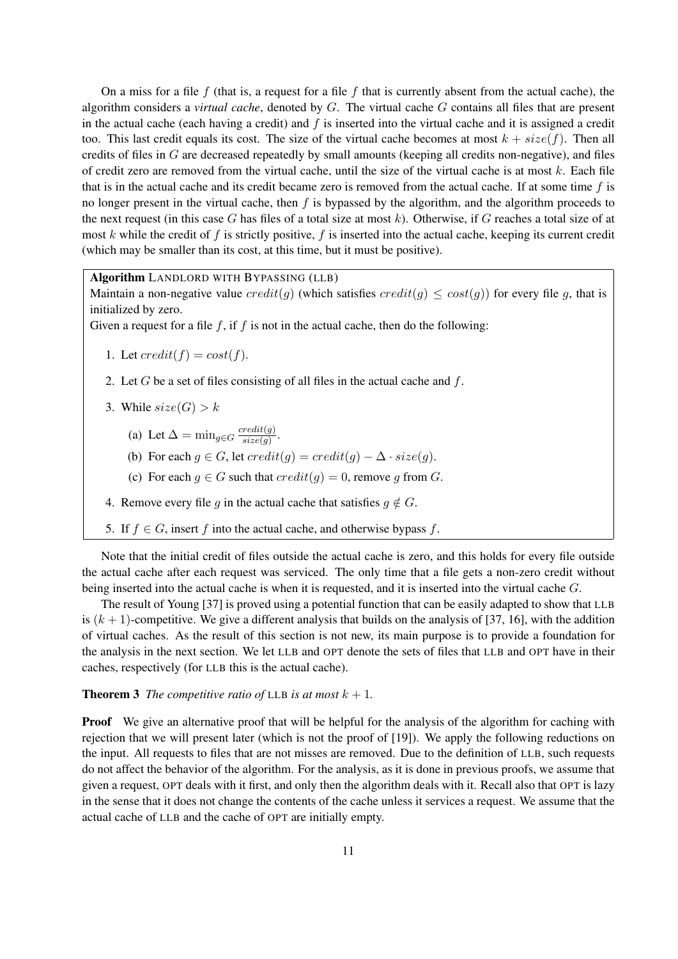On a miss for a file *f* (that is, a request for a file *f* that is currently absent from the actual cache), the algorithm considers a *virtual cache*, denoted by *G*. The virtual cache *G* contains all files that are present in the actual cache (each having a credit) and *f* is inserted into the virtual cache and it is assigned a credit too. This last credit equals its cost. The size of the virtual cache becomes at most  $k + size(f)$ . Then all credits of files in *G* are decreased repeatedly by small amounts (keeping all credits non-negative), and files of credit zero are removed from the virtual cache, until the size of the virtual cache is at most *k*. Each file that is in the actual cache and its credit became zero is removed from the actual cache. If at some time *f* is no longer present in the virtual cache, then *f* is bypassed by the algorithm, and the algorithm proceeds to the next request (in this case *G* has files of a total size at most *k*). Otherwise, if *G* reaches a total size of at most *k* while the credit of *f* is strictly positive, *f* is inserted into the actual cache, keeping its current credit (which may be smaller than its cost, at this time, but it must be positive).

Algorithm LANDLORD WITH BYPASSING (LLB)

Maintain a non-negative value  $credit(g)$  (which satisfies  $credit(g) \leq cost(g)$ ) for every file g, that is initialized by zero.

Given a request for a file *f*, if *f* is not in the actual cache, then do the following:

1. Let 
$$
credit(f) = cost(f)
$$
.

- 2. Let *G* be a set of files consisting of all files in the actual cache and *f*.
- 3. While  $size(G) > k$ 
	- (a) Let  $\Delta = \min_{g \in G} \frac{credit(g)}{size(g)}$  $\frac{mean(g)}{size(g)}$ .
	- (b) For each  $q \in G$ , let  $\text{credit}(q) = \text{credit}(q) \Delta \cdot \text{size}(q)$ .
	- (c) For each  $g \in G$  such that  $\text{credit}(g) = 0$ , remove g from G.
- 4. Remove every file *g* in the actual cache that satisfies  $g \notin G$ .
- 5. If  $f \in G$ , insert  $f$  into the actual cache, and otherwise bypass  $f$ .

Note that the initial credit of files outside the actual cache is zero, and this holds for every file outside the actual cache after each request was serviced. The only time that a file gets a non-zero credit without being inserted into the actual cache is when it is requested, and it is inserted into the virtual cache *G*.

The result of Young [37] is proved using a potential function that can be easily adapted to show that LLB is  $(k+1)$ -competitive. We give a different analysis that builds on the analysis of [37, 16], with the addition of virtual caches. As the result of this section is not new, its main purpose is to provide a foundation for the analysis in the next section. We let LLB and OPT denote the sets of files that LLB and OPT have in their caches, respectively (for LLB this is the actual cache).

### **Theorem 3** *The competitive ratio of* LLB *is at most*  $k + 1$ *.*

**Proof** We give an alternative proof that will be helpful for the analysis of the algorithm for caching with rejection that we will present later (which is not the proof of [19]). We apply the following reductions on the input. All requests to files that are not misses are removed. Due to the definition of LLB, such requests do not affect the behavior of the algorithm. For the analysis, as it is done in previous proofs, we assume that given a request, OPT deals with it first, and only then the algorithm deals with it. Recall also that OPT is lazy in the sense that it does not change the contents of the cache unless it services a request. We assume that the actual cache of LLB and the cache of OPT are initially empty.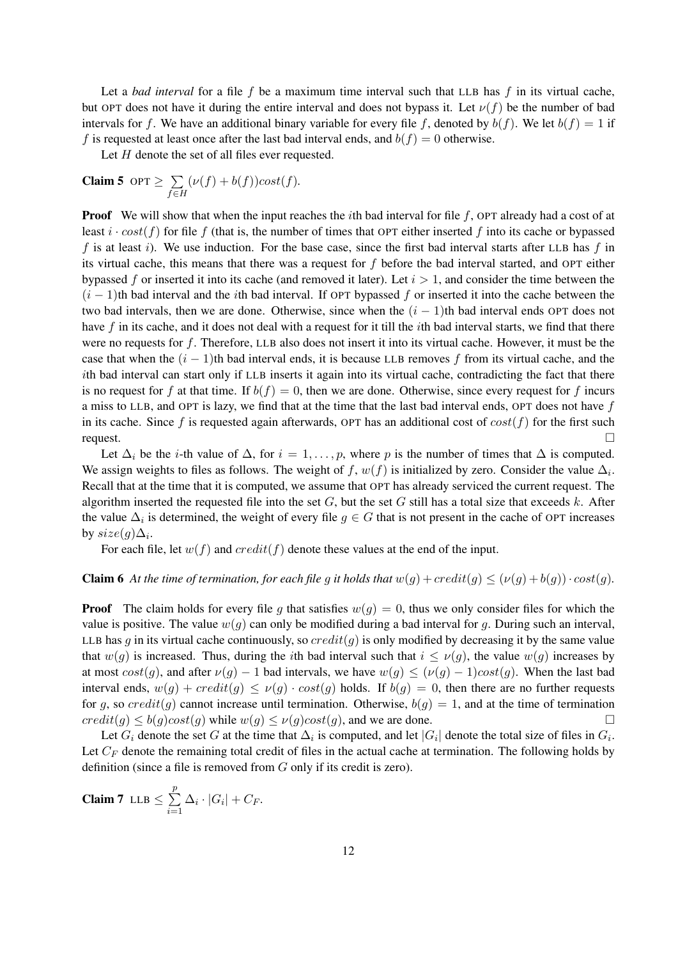Let a *bad interval* for a file f be a maximum time interval such that LLB has f in its virtual cache, but OPT does not have it during the entire interval and does not bypass it. Let  $\nu(f)$  be the number of bad intervals for *f*. We have an additional binary variable for every file *f*, denoted by  $b(f)$ . We let  $b(f) = 1$  if *f* is requested at least once after the last bad interval ends, and  $b(f) = 0$  otherwise.

Let *H* denote the set of all files ever requested.

**Claim 5** OPT 
$$
\geq \sum_{f \in H} (\nu(f) + b(f)) cost(f)
$$
.

**Proof** We will show that when the input reaches the *i*th bad interval for file *f*, OPT already had a cost of at least  $i \cdot cost(f)$  for file f (that is, the number of times that OPT either inserted f into its cache or bypassed *f* is at least *i*). We use induction. For the base case, since the first bad interval starts after LLB has *f* in its virtual cache, this means that there was a request for *f* before the bad interval started, and OPT either bypassed *f* or inserted it into its cache (and removed it later). Let *i >* 1, and consider the time between the (*i −* 1)th bad interval and the *i*th bad interval. If OPT bypassed *f* or inserted it into the cache between the two bad intervals, then we are done. Otherwise, since when the (*i −* 1)th bad interval ends OPT does not have *f* in its cache, and it does not deal with a request for it till the *i*th bad interval starts, we find that there were no requests for *f*. Therefore, LLB also does not insert it into its virtual cache. However, it must be the case that when the (*i −* 1)th bad interval ends, it is because LLB removes *f* from its virtual cache, and the *i*th bad interval can start only if LLB inserts it again into its virtual cache, contradicting the fact that there is no request for *f* at that time. If  $b(f) = 0$ , then we are done. Otherwise, since every request for *f* incurs a miss to LLB, and OPT is lazy, we find that at the time that the last bad interval ends, OPT does not have *f* in its cache. Since f is requested again afterwards, OPT has an additional cost of  $cost(f)$  for the first such request.

Let  $\Delta_i$  be the *i*-th value of  $\Delta$ , for  $i = 1, \ldots, p$ , where p is the number of times that  $\Delta$  is computed. We assign weights to files as follows. The weight of  $f, w(f)$  is initialized by zero. Consider the value  $\Delta_i$ . Recall that at the time that it is computed, we assume that OPT has already serviced the current request. The algorithm inserted the requested file into the set *G*, but the set *G* still has a total size that exceeds *k*. After the value  $\Delta_i$  is determined, the weight of every file  $g \in G$  that is not present in the cache of OPT increases by  $size(g)\Delta_i$ .

For each file, let  $w(f)$  and  $credit(f)$  denote these values at the end of the input.

### **Claim 6** At the time of termination, for each file g it holds that  $w(g) + \text{credit}(g) \leq (v(g) + b(g)) \cdot \text{cost}(g)$ .

**Proof** The claim holds for every file *q* that satisfies  $w(q) = 0$ , thus we only consider files for which the value is positive. The value  $w(g)$  can only be modified during a bad interval for *g*. During such an interval, LLB has  $g$  in its virtual cache continuously, so  $credit(g)$  is only modified by decreasing it by the same value that  $w(q)$  is increased. Thus, during the *i*th bad interval such that  $i \leq v(q)$ , the value  $w(q)$  increases by at most  $cost(g)$ , and after  $\nu(g) - 1$  bad intervals, we have  $w(g) \leq (\nu(g) - 1)cost(g)$ . When the last bad interval ends,  $w(g) + credit(g) \le v(g) \cdot cost(g)$  holds. If  $b(g) = 0$ , then there are no further requests for *g*, so *credit*(*g*) cannot increase until termination. Otherwise,  $b(g) = 1$ , and at the time of termination  $\Box$  *credit*(*g*)  $\leq b(g)\cos t(g)$  while  $w(g) \leq v(g)\cos t(g)$ , and we are done.

Let  $G_i$  denote the set  $G$  at the time that  $\Delta_i$  is computed, and let  $|G_i|$  denote the total size of files in  $G_i$ . Let  $C_F$  denote the remaining total credit of files in the actual cache at termination. The following holds by definition (since a file is removed from *G* only if its credit is zero).

**Claim 7** LLB 
$$
\leq \sum_{i=1}^{p} \Delta_i \cdot |G_i| + C_F.
$$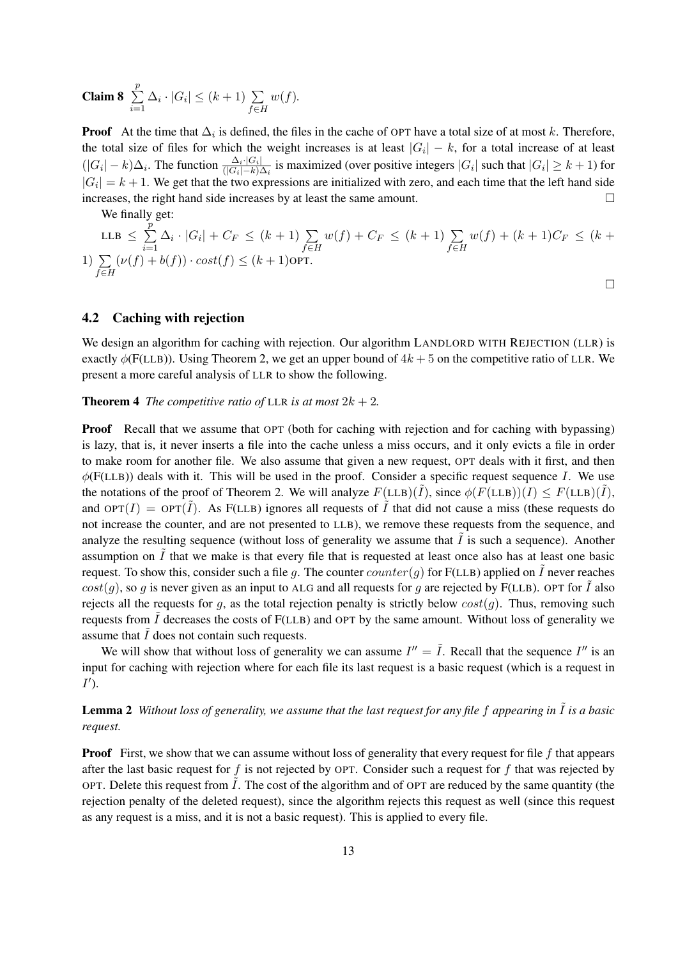Claim 8  $\sum_{i=1}^{p}$ *i*=1  $\Delta_i \cdot |G_i| \leq (k+1) \sum_i$ *f∈H w*(*f*)*.*

**Proof** At the time that  $\Delta_i$  is defined, the files in the cache of OPT have a total size of at most *k*. Therefore, the total size of files for which the weight increases is at least  $|G_i| - k$ , for a total increase of at least  $(|G_i| - k)\Delta_i$ . The function  $\frac{\Delta_i |G_i|}{(|G_i| - k)\Delta_i}$  is maximized (over positive integers  $|G_i|$  such that  $|G_i| \ge k + 1$ ) for  $|G_i| = k + 1$ . We get that the two expressions are initialized with zero, and each time that the left hand side increases, the right hand side increases by at least the same amount.

We finally get:

LLB 
$$
\leq \sum_{i=1}^{p} \Delta_i \cdot |G_i| + C_F \leq (k+1) \sum_{f \in H} w(f) + C_F \leq (k+1) \sum_{f \in H} w(f) + (k+1)C_F \leq (k+1) \sum_{f \in H} (\nu(f) + b(f)) \cdot cost(f) \leq (k+1)OPT.
$$

## 4.2 Caching with rejection

We design an algorithm for caching with rejection. Our algorithm LANDLORD WITH REJECTION (LLR) is exactly  $\phi$ (F(LLB)). Using Theorem 2, we get an upper bound of  $4k + 5$  on the competitive ratio of LLR. We present a more careful analysis of LLR to show the following.

**Theorem 4** *The competitive ratio of* LLR *is at most*  $2k + 2$ *.* 

Proof Recall that we assume that OPT (both for caching with rejection and for caching with bypassing) is lazy, that is, it never inserts a file into the cache unless a miss occurs, and it only evicts a file in order to make room for another file. We also assume that given a new request, OPT deals with it first, and then *ϕ*(F(LLB)) deals with it. This will be used in the proof. Consider a specific request sequence *I*. We use the notations of the proof of Theorem 2. We will analyze  $F(\text{LLB})(\tilde{I})$ , since  $\phi(F(\text{LLB}))(I) \leq F(\text{LLB})(\tilde{I})$ , and  $OPT(I) = OPT(\tilde{I})$ . As F(LLB) ignores all requests of  $\tilde{I}$  that did not cause a miss (these requests do not increase the counter, and are not presented to LLB), we remove these requests from the sequence, and analyze the resulting sequence (without loss of generality we assume that I is such a sequence). Another assumption on  $\tilde{I}$  that we make is that every file that is requested at least once also has at least one basic request. To show this, consider such a file *q*. The counter *counter*(*q*) for  $F(LLB)$  applied on  $\tilde{I}$  never reaches  $cost(q)$ , so *g* is never given as an input to ALG and all requests for *g* are rejected by F(LLB). OPT for  $\tilde{I}$  also rejects all the requests for  $g$ , as the total rejection penalty is strictly below  $cost(g)$ . Thus, removing such requests from  $\tilde{I}$  decreases the costs of  $F(LLB)$  and OPT by the same amount. Without loss of generality we assume that  $\tilde{I}$  does not contain such requests.

We will show that without loss of generality we can assume  $I'' = \tilde{I}$ . Recall that the sequence  $I''$  is an input for caching with rejection where for each file its last request is a basic request (which is a request in *I ′* ).

## **Lemma 2** *Without loss of generality, we assume that the last request for any file*  $f$  *appearing in*  $\tilde{I}$  *is a basic request.*

Proof First, we show that we can assume without loss of generality that every request for file *f* that appears after the last basic request for *f* is not rejected by OPT. Consider such a request for *f* that was rejected by OPT. Delete this request from  $\tilde{I}$ . The cost of the algorithm and of OPT are reduced by the same quantity (the rejection penalty of the deleted request), since the algorithm rejects this request as well (since this request as any request is a miss, and it is not a basic request). This is applied to every file.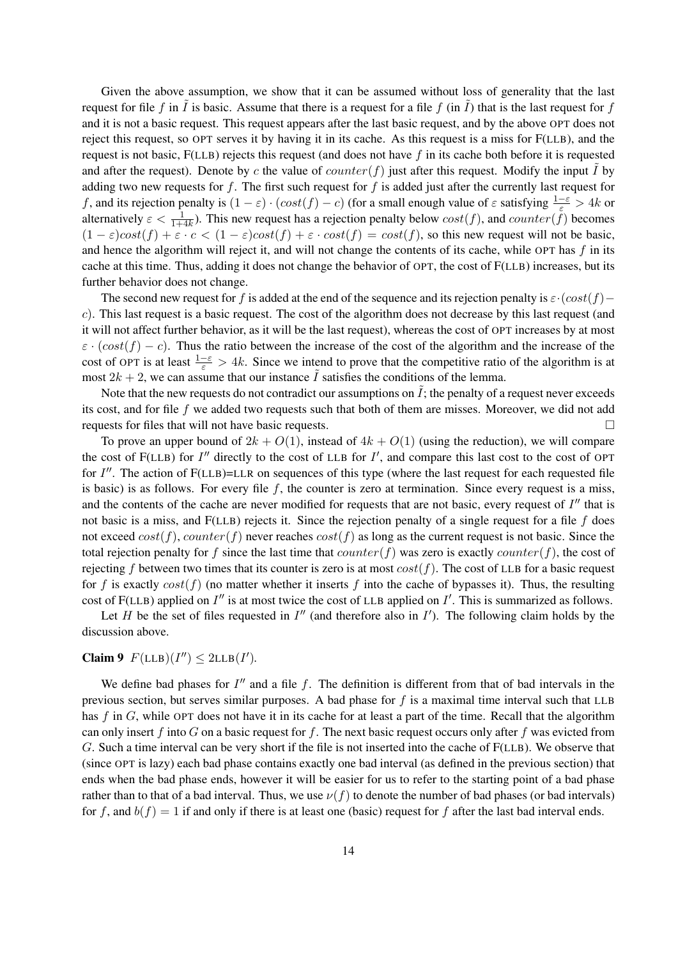Given the above assumption, we show that it can be assumed without loss of generality that the last request for file *f* in  $\overline{I}$  is basic. Assume that there is a request for a file  $f$  (in  $\overline{I}$ ) that is the last request for  $f$ and it is not a basic request. This request appears after the last basic request, and by the above OPT does not reject this request, so OPT serves it by having it in its cache. As this request is a miss for F(LLB), and the request is not basic, F(LLB) rejects this request (and does not have *f* in its cache both before it is requested and after the request). Denote by *c* the value of *counter*( $f$ ) just after this request. Modify the input *I* by adding two new requests for *f*. The first such request for *f* is added just after the currently last request for *f*, and its rejection penalty is  $(1 - \varepsilon) \cdot (cost(f) - c)$  (for a small enough value of  $\varepsilon$  satisfying  $\frac{1 - \varepsilon}{\varepsilon} > 4k$  or alternatively  $\varepsilon < \frac{1}{1+4k}$ ). This new request has a rejection penalty below  $cost(f)$ , and  $counter(\tilde{f})$  becomes  $(1 - \varepsilon)\cos(t) + \varepsilon \cdot c < (1 - \varepsilon)\cos(t) + \varepsilon \cdot \cos(t) = \cos(t)$ , so this new request will not be basic, and hence the algorithm will reject it, and will not change the contents of its cache, while OPT has *f* in its cache at this time. Thus, adding it does not change the behavior of OPT, the cost of F(LLB) increases, but its further behavior does not change.

The second new request for *f* is added at the end of the sequence and its rejection penalty is  $\varepsilon \cdot (cost(f)$ *c*). This last request is a basic request. The cost of the algorithm does not decrease by this last request (and it will not affect further behavior, as it will be the last request), whereas the cost of OPT increases by at most  $\varepsilon \cdot (cost(f) - c)$ . Thus the ratio between the increase of the cost of the algorithm and the increase of the cost of OPT is at least  $\frac{1-\varepsilon}{\varepsilon} > 4k$ . Since we intend to prove that the competitive ratio of the algorithm is at most  $2k + 2$ , we can assume that our instance  $\overline{I}$  satisfies the conditions of the lemma.

Note that the new requests do not contradict our assumptions on  $\tilde{I}$ ; the penalty of a request never exceeds its cost, and for file *f* we added two requests such that both of them are misses. Moreover, we did not add requests for files that will not have basic requests.

To prove an upper bound of  $2k + O(1)$ , instead of  $4k + O(1)$  (using the reduction), we will compare the cost of  $F(LLB)$  for  $I''$  directly to the cost of LLB for  $I'$ , and compare this last cost to the cost of OPT for *I*<sup>*''*</sup>. The action of F(LLB)=LLR on sequences of this type (where the last request for each requested file is basic) is as follows. For every file *f*, the counter is zero at termination. Since every request is a miss, and the contents of the cache are never modified for requests that are not basic, every request of *I ′′* that is not basic is a miss, and F(LLB) rejects it. Since the rejection penalty of a single request for a file *f* does not exceed  $cost(f)$ ,  $counter(f)$  never reaches  $cost(f)$  as long as the current request is not basic. Since the total rejection penalty for f since the last time that  $counter(f)$  was zero is exactly  $counter(f)$ , the cost of rejecting f between two times that its counter is zero is at most  $cost(f)$ . The cost of LLB for a basic request for f is exactly  $cost(f)$  (no matter whether it inserts f into the cache of bypasses it). Thus, the resulting cost of F(LLB) applied on *I ′′* is at most twice the cost of LLB applied on *I ′* . This is summarized as follows.

Let  $H$  be the set of files requested in  $I''$  (and therefore also in  $I'$ ). The following claim holds by the discussion above.

#### Claim 9  $F(\text{LLB})(I'') \leq 2\text{LLB}(I').$

We define bad phases for  $I''$  and a file  $f$ . The definition is different from that of bad intervals in the previous section, but serves similar purposes. A bad phase for *f* is a maximal time interval such that LLB has *f* in *G*, while OPT does not have it in its cache for at least a part of the time. Recall that the algorithm can only insert *f* into *G* on a basic request for *f*. The next basic request occurs only after *f* was evicted from *G*. Such a time interval can be very short if the file is not inserted into the cache of F(LLB). We observe that (since OPT is lazy) each bad phase contains exactly one bad interval (as defined in the previous section) that ends when the bad phase ends, however it will be easier for us to refer to the starting point of a bad phase rather than to that of a bad interval. Thus, we use  $\nu(f)$  to denote the number of bad phases (or bad intervals) for  $f$ , and  $b(f) = 1$  if and only if there is at least one (basic) request for  $f$  after the last bad interval ends.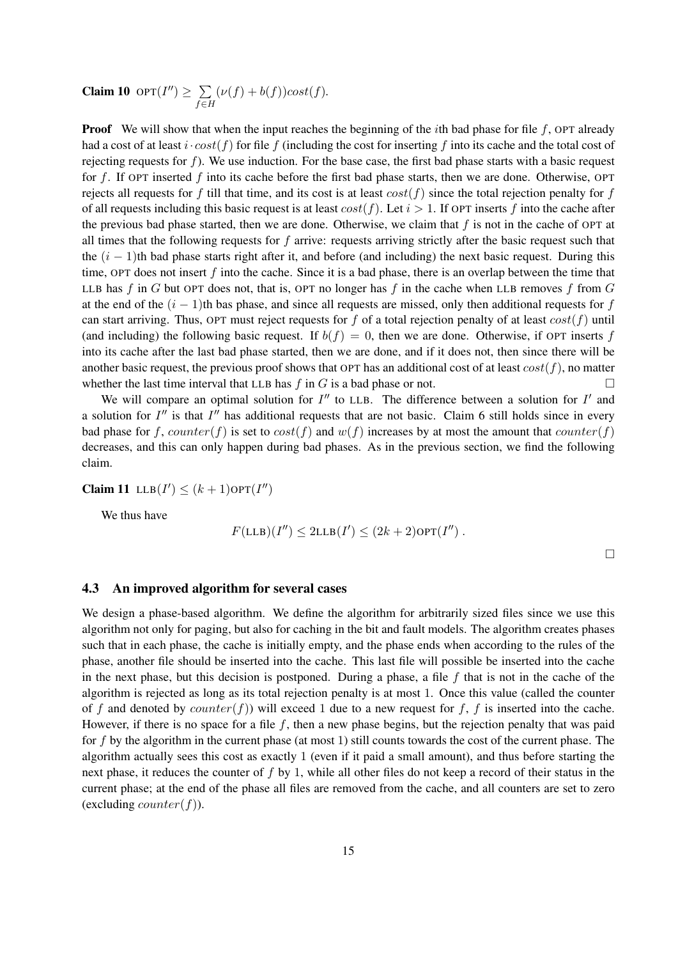Claim 10 OPT $(I'') \geq \sum$ *f∈H*  $(\nu(f) + b(f))\cos(t).$ 

Proof We will show that when the input reaches the beginning of the *i*th bad phase for file *f*, OPT already had a cost of at least  $i \cdot cost(f)$  for file f (including the cost for inserting f into its cache and the total cost of rejecting requests for *f*). We use induction. For the base case, the first bad phase starts with a basic request for *f*. If OPT inserted *f* into its cache before the first bad phase starts, then we are done. Otherwise, OPT rejects all requests for  $f$  till that time, and its cost is at least  $cost(f)$  since the total rejection penalty for  $f$ of all requests including this basic request is at least  $cost(f)$ . Let  $i > 1$ . If OPT inserts f into the cache after the previous bad phase started, then we are done. Otherwise, we claim that *f* is not in the cache of OPT at all times that the following requests for *f* arrive: requests arriving strictly after the basic request such that the  $(i - 1)$ th bad phase starts right after it, and before (and including) the next basic request. During this time, OPT does not insert  $f$  into the cache. Since it is a bad phase, there is an overlap between the time that LLB has *f* in *G* but OPT does not, that is, OPT no longer has *f* in the cache when LLB removes *f* from *G* at the end of the (*i −* 1)th bas phase, and since all requests are missed, only then additional requests for *f* can start arriving. Thus, OPT must reject requests for *f* of a total rejection penalty of at least *cost*(*f*) until (and including) the following basic request. If  $b(f) = 0$ , then we are done. Otherwise, if OPT inserts *f* into its cache after the last bad phase started, then we are done, and if it does not, then since there will be another basic request, the previous proof shows that OPT has an additional cost of at least *cost*(*f*), no matter whether the last time interval that LLB has  $f$  in  $G$  is a bad phase or not.

We will compare an optimal solution for *I''* to LLB. The difference between a solution for *I'* and a solution for *I ′′* is that *I ′′* has additional requests that are not basic. Claim 6 still holds since in every bad phase for *f*, *counter*(*f*) is set to  $cost(f)$  and  $w(f)$  increases by at most the amount that  $counter(f)$ decreases, and this can only happen during bad phases. As in the previous section, we find the following claim.

**Claim 11** LLB $(I') \leq (k+1)$ OPT $(I'')$ 

We thus have

$$
F(\mathsf{LLB})(I'') \leq 2\mathsf{LLB}(I') \leq (2k+2)\mathsf{OPT}(I'')
$$
.

 $\Box$ 

#### 4.3 An improved algorithm for several cases

We design a phase-based algorithm. We define the algorithm for arbitrarily sized files since we use this algorithm not only for paging, but also for caching in the bit and fault models. The algorithm creates phases such that in each phase, the cache is initially empty, and the phase ends when according to the rules of the phase, another file should be inserted into the cache. This last file will possible be inserted into the cache in the next phase, but this decision is postponed. During a phase, a file *f* that is not in the cache of the algorithm is rejected as long as its total rejection penalty is at most 1. Once this value (called the counter of f and denoted by *counter*(f)) will exceed 1 due to a new request for f, f is inserted into the cache. However, if there is no space for a file *f*, then a new phase begins, but the rejection penalty that was paid for *f* by the algorithm in the current phase (at most 1) still counts towards the cost of the current phase. The algorithm actually sees this cost as exactly 1 (even if it paid a small amount), and thus before starting the next phase, it reduces the counter of *f* by 1, while all other files do not keep a record of their status in the current phase; at the end of the phase all files are removed from the cache, and all counters are set to zero (excluding *counter*(*f*)).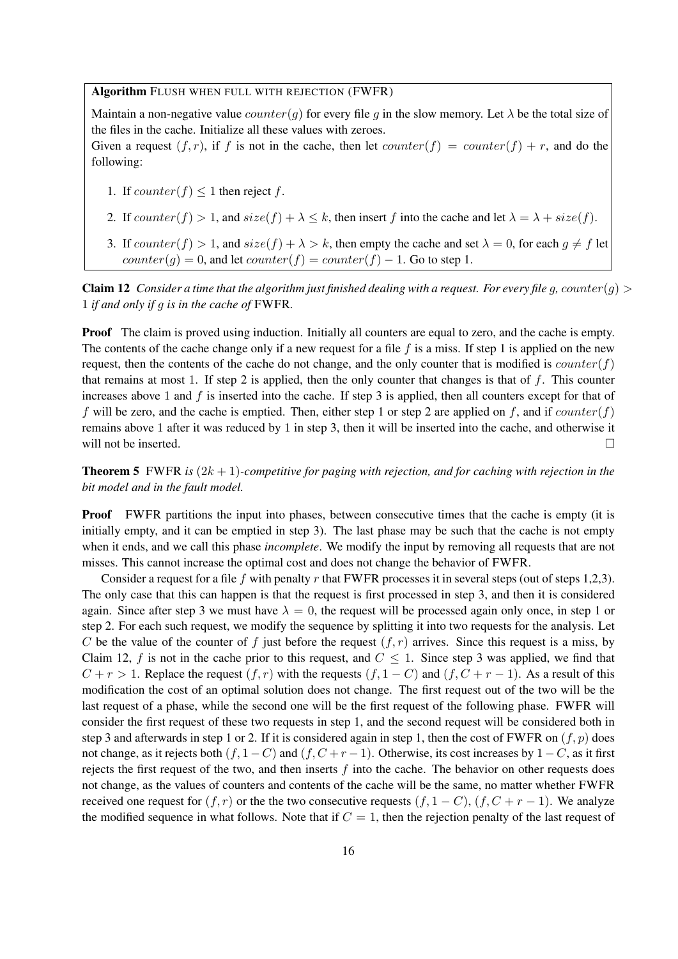Algorithm FLUSH WHEN FULL WITH REJECTION (FWFR)

Maintain a non-negative value *counter*(*q*) for every file *q* in the slow memory. Let  $\lambda$  be the total size of the files in the cache. Initialize all these values with zeroes.

Given a request  $(f, r)$ , if f is not in the cache, then let  $counter(f) = counter(f) + r$ , and do the following:

1. If  $counter(f) \leq 1$  then reject *f*.

- 2. If  $counter(f) > 1$ , and  $size(f) + \lambda \leq k$ , then insert f into the cache and let  $\lambda = \lambda + size(f)$ .
- 3. If  $counter(f) > 1$ , and  $size(f) + \lambda > k$ , then empty the cache and set  $\lambda = 0$ , for each  $g \neq f$  let  $counter(g) = 0$ , and let  $counter(f) = counter(f) - 1$ . Go to step 1.

**Claim 12** Consider a time that the algorithm just finished dealing with a request. For every file q, counter $(q)$ 1 *if and only if g is in the cache of* FWFR*.*

**Proof** The claim is proved using induction. Initially all counters are equal to zero, and the cache is empty. The contents of the cache change only if a new request for a file f is a miss. If step 1 is applied on the new request, then the contents of the cache do not change, and the only counter that is modified is  $counter(f)$ that remains at most 1. If step 2 is applied, then the only counter that changes is that of *f*. This counter increases above 1 and *f* is inserted into the cache. If step 3 is applied, then all counters except for that of *f* will be zero, and the cache is emptied. Then, either step 1 or step 2 are applied on *f*, and if  $counter(f)$ remains above 1 after it was reduced by 1 in step 3, then it will be inserted into the cache, and otherwise it will not be inserted.

Theorem 5 FWFR *is* (2*k* + 1)*-competitive for paging with rejection, and for caching with rejection in the bit model and in the fault model.*

**Proof** FWFR partitions the input into phases, between consecutive times that the cache is empty (it is initially empty, and it can be emptied in step 3). The last phase may be such that the cache is not empty when it ends, and we call this phase *incomplete*. We modify the input by removing all requests that are not misses. This cannot increase the optimal cost and does not change the behavior of FWFR.

Consider a request for a file *f* with penalty *r* that FWFR processes it in several steps (out of steps 1,2,3). The only case that this can happen is that the request is first processed in step 3, and then it is considered again. Since after step 3 we must have  $\lambda = 0$ , the request will be processed again only once, in step 1 or step 2. For each such request, we modify the sequence by splitting it into two requests for the analysis. Let *C* be the value of the counter of *f* just before the request (*f, r*) arrives. Since this request is a miss, by Claim 12, *f* is not in the cache prior to this request, and  $C \leq 1$ . Since step 3 was applied, we find that  $C + r > 1$ . Replace the request  $(f, r)$  with the requests  $(f, 1 - C)$  and  $(f, C + r - 1)$ . As a result of this modification the cost of an optimal solution does not change. The first request out of the two will be the last request of a phase, while the second one will be the first request of the following phase. FWFR will consider the first request of these two requests in step 1, and the second request will be considered both in step 3 and afterwards in step 1 or 2. If it is considered again in step 1, then the cost of FWFR on  $(f, p)$  does not change, as it rejects both  $(f, 1 - C)$  and  $(f, C + r - 1)$ . Otherwise, its cost increases by  $1 - C$ , as it first rejects the first request of the two, and then inserts  $f$  into the cache. The behavior on other requests does not change, as the values of counters and contents of the cache will be the same, no matter whether FWFR received one request for  $(f, r)$  or the the two consecutive requests  $(f, 1 - C)$ ,  $(f, C + r - 1)$ . We analyze the modified sequence in what follows. Note that if  $C = 1$ , then the rejection penalty of the last request of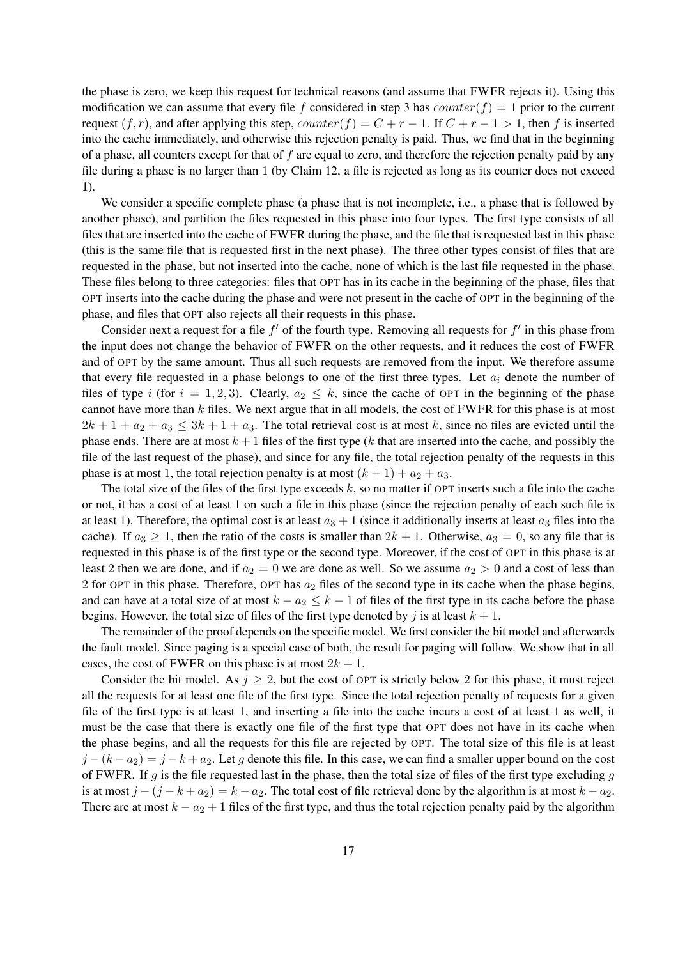the phase is zero, we keep this request for technical reasons (and assume that FWFR rejects it). Using this modification we can assume that every file f considered in step 3 has  $counter(f) = 1$  prior to the current request  $(f, r)$ , and after applying this step, *counter* $(f) = C + r - 1$ . If  $C + r - 1 > 1$ , then *f* is inserted into the cache immediately, and otherwise this rejection penalty is paid. Thus, we find that in the beginning of a phase, all counters except for that of *f* are equal to zero, and therefore the rejection penalty paid by any file during a phase is no larger than 1 (by Claim 12, a file is rejected as long as its counter does not exceed 1).

We consider a specific complete phase (a phase that is not incomplete, i.e., a phase that is followed by another phase), and partition the files requested in this phase into four types. The first type consists of all files that are inserted into the cache of FWFR during the phase, and the file that is requested last in this phase (this is the same file that is requested first in the next phase). The three other types consist of files that are requested in the phase, but not inserted into the cache, none of which is the last file requested in the phase. These files belong to three categories: files that OPT has in its cache in the beginning of the phase, files that OPT inserts into the cache during the phase and were not present in the cache of OPT in the beginning of the phase, and files that OPT also rejects all their requests in this phase.

Consider next a request for a file *f ′* of the fourth type. Removing all requests for *f ′* in this phase from the input does not change the behavior of FWFR on the other requests, and it reduces the cost of FWFR and of OPT by the same amount. Thus all such requests are removed from the input. We therefore assume that every file requested in a phase belongs to one of the first three types. Let *a<sup>i</sup>* denote the number of files of type *i* (for  $i = 1, 2, 3$ ). Clearly,  $a_2 \leq k$ , since the cache of OPT in the beginning of the phase cannot have more than *k* files. We next argue that in all models, the cost of FWFR for this phase is at most  $2k + 1 + a_2 + a_3 \leq 3k + 1 + a_3$ . The total retrieval cost is at most *k*, since no files are evicted until the phase ends. There are at most  $k + 1$  files of the first type ( $k$  that are inserted into the cache, and possibly the file of the last request of the phase), and since for any file, the total rejection penalty of the requests in this phase is at most 1, the total rejection penalty is at most  $(k + 1) + a_2 + a_3$ .

The total size of the files of the first type exceeds *k*, so no matter if OPT inserts such a file into the cache or not, it has a cost of at least 1 on such a file in this phase (since the rejection penalty of each such file is at least 1). Therefore, the optimal cost is at least  $a_3 + 1$  (since it additionally inserts at least  $a_3$  files into the cache). If  $a_3 \ge 1$ , then the ratio of the costs is smaller than  $2k + 1$ . Otherwise,  $a_3 = 0$ , so any file that is requested in this phase is of the first type or the second type. Moreover, if the cost of OPT in this phase is at least 2 then we are done, and if  $a_2 = 0$  we are done as well. So we assume  $a_2 > 0$  and a cost of less than 2 for OPT in this phase. Therefore, OPT has *a*<sup>2</sup> files of the second type in its cache when the phase begins, and can have at a total size of at most  $k - a_2 \leq k - 1$  of files of the first type in its cache before the phase begins. However, the total size of files of the first type denoted by  $j$  is at least  $k + 1$ .

The remainder of the proof depends on the specific model. We first consider the bit model and afterwards the fault model. Since paging is a special case of both, the result for paging will follow. We show that in all cases, the cost of FWFR on this phase is at most  $2k + 1$ .

Consider the bit model. As  $j \ge 2$ , but the cost of OPT is strictly below 2 for this phase, it must reject all the requests for at least one file of the first type. Since the total rejection penalty of requests for a given file of the first type is at least 1, and inserting a file into the cache incurs a cost of at least 1 as well, it must be the case that there is exactly one file of the first type that OPT does not have in its cache when the phase begins, and all the requests for this file are rejected by OPT. The total size of this file is at least  $j - (k - a_2) = j - k + a_2$ . Let *g* denote this file. In this case, we can find a smaller upper bound on the cost of FWFR. If *g* is the file requested last in the phase, then the total size of files of the first type excluding *g* is at most  $j - (j - k + a_2) = k - a_2$ . The total cost of file retrieval done by the algorithm is at most  $k - a_2$ . There are at most  $k - a_2 + 1$  files of the first type, and thus the total rejection penalty paid by the algorithm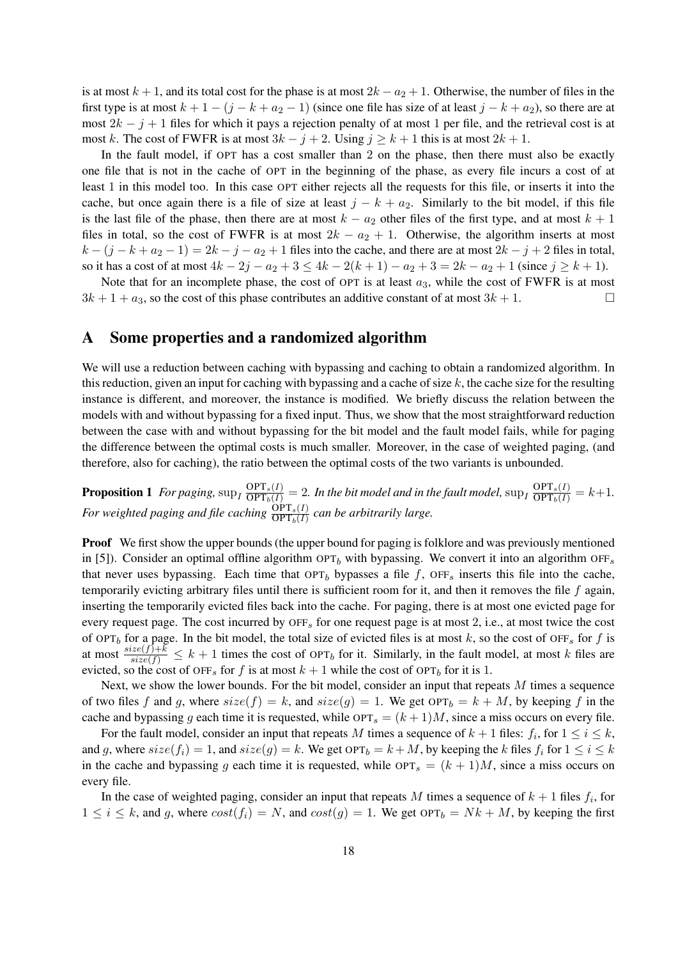is at most  $k + 1$ , and its total cost for the phase is at most  $2k - a_2 + 1$ . Otherwise, the number of files in the first type is at most  $k + 1 - (j - k + a_2 - 1)$  (since one file has size of at least  $j - k + a_2$ ), so there are at most  $2k - j + 1$  files for which it pays a rejection penalty of at most 1 per file, and the retrieval cost is at most *k*. The cost of FWFR is at most  $3k - j + 2$ . Using  $j \ge k + 1$  this is at most  $2k + 1$ .

In the fault model, if OPT has a cost smaller than 2 on the phase, then there must also be exactly one file that is not in the cache of OPT in the beginning of the phase, as every file incurs a cost of at least 1 in this model too. In this case OPT either rejects all the requests for this file, or inserts it into the cache, but once again there is a file of size at least  $j - k + a_2$ . Similarly to the bit model, if this file is the last file of the phase, then there are at most  $k - a_2$  other files of the first type, and at most  $k + 1$ files in total, so the cost of FWFR is at most  $2k - a_2 + 1$ . Otherwise, the algorithm inserts at most  $k - (j - k + a_2 - 1) = 2k - j - a_2 + 1$  files into the cache, and there are at most  $2k - j + 2$  files in total, so it has a cost of at most  $4k - 2j - a_2 + 3 \le 4k - 2(k + 1) - a_2 + 3 = 2k - a_2 + 1$  (since *j* ≥ *k* + 1).

Note that for an incomplete phase, the cost of OPT is at least  $a_3$ , while the cost of FWFR is at most  $3k + 1 + a_3$ , so the cost of this phase contributes an additive constant of at most  $3k + 1$ .

## A Some properties and a randomized algorithm

We will use a reduction between caching with bypassing and caching to obtain a randomized algorithm. In this reduction, given an input for caching with bypassing and a cache of size *k*, the cache size for the resulting instance is different, and moreover, the instance is modified. We briefly discuss the relation between the models with and without bypassing for a fixed input. Thus, we show that the most straightforward reduction between the case with and without bypassing for the bit model and the fault model fails, while for paging the difference between the optimal costs is much smaller. Moreover, in the case of weighted paging, (and therefore, also for caching), the ratio between the optimal costs of the two variants is unbounded.

**Proposition 1** For paging,  $\sup_I \frac{\text{OPT}_s(I)}{\text{OPT}_b(I)} = 2$ . In the bit model and in the fault model,  $\sup_I \frac{\text{OPT}_s(I)}{\text{OPT}_b(I)} = k+1$ . For weighted paging and file caching  $\frac{\text{OPT}_s(I)}{\text{OPT}_b(I)}$  can be arbitrarily large.

**Proof** We first show the upper bounds (the upper bound for paging is folklore and was previously mentioned in [5]). Consider an optimal offline algorithm  $OPT_b$  with bypassing. We convert it into an algorithm  $OFF_s$ that never uses bypassing. Each time that  $OPT_b$  bypasses a file *f*, OFF<sub>s</sub> inserts this file into the cache, temporarily evicting arbitrary files until there is sufficient room for it, and then it removes the file *f* again, inserting the temporarily evicted files back into the cache. For paging, there is at most one evicted page for every request page. The cost incurred by OFF*<sup>s</sup>* for one request page is at most 2, i.e., at most twice the cost of OPT*<sup>b</sup>* for a page. In the bit model, the total size of evicted files is at most *k*, so the cost of OFF*<sup>s</sup>* for *f* is at most  $\frac{size(f)+k}{size(f)} \leq k+1$  times the cost of OPT<sub>b</sub> for it. Similarly, in the fault model, at most *k* files are evicted, so the cost of OFF<sub>s</sub> for f is at most  $k + 1$  while the cost of OPT<sub>b</sub> for it is 1.

Next, we show the lower bounds. For the bit model, consider an input that repeats *M* times a sequence of two files *f* and *g*, where  $size(f) = k$ , and  $size(g) = 1$ . We get  $OPT_b = k + M$ , by keeping *f* in the cache and bypassing *g* each time it is requested, while  $OPT_s = (k+1)M$ , since a miss occurs on every file.

For the fault model, consider an input that repeats *M* times a sequence of  $k + 1$  files:  $f_i$ , for  $1 \le i \le k$ , and *g*, where  $size(f_i) = 1$ , and  $size(g) = k$ . We get  $OPT_b = k + M$ , by keeping the *k* files  $f_i$  for  $1 \le i \le k$ in the cache and bypassing *g* each time it is requested, while  $OPT_s = (k+1)M$ , since a miss occurs on every file.

In the case of weighted paging, consider an input that repeats  $M$  times a sequence of  $k + 1$  files  $f_i$ , for  $1 \leq i \leq k$ , and g, where  $cost(f_i) = N$ , and  $cost(g) = 1$ . We get  $OPT_b = Nk + M$ , by keeping the first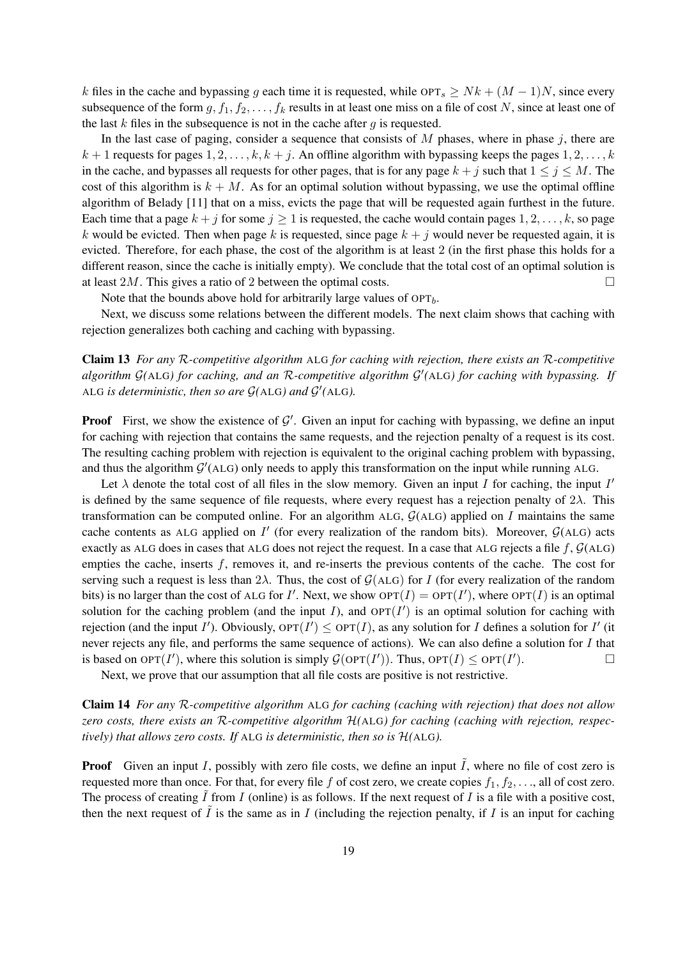*k* files in the cache and bypassing *g* each time it is requested, while OPT<sub>*s*</sub>  $\geq Nk + (M-1)N$ , since every subsequence of the form  $g, f_1, f_2, \ldots, f_k$  results in at least one miss on a file of cost *N*, since at least one of the last  $k$  files in the subsequence is not in the cache after  $q$  is requested.

In the last case of paging, consider a sequence that consists of *M* phases, where in phase *j*, there are  $k+1$  requests for pages  $1, 2, \ldots, k, k+j$ . An offline algorithm with bypassing keeps the pages  $1, 2, \ldots, k$ in the cache, and bypasses all requests for other pages, that is for any page  $k + j$  such that  $1 \leq j \leq M$ . The cost of this algorithm is  $k + M$ . As for an optimal solution without bypassing, we use the optimal offline algorithm of Belady [11] that on a miss, evicts the page that will be requested again furthest in the future. Each time that a page  $k + j$  for some  $j \ge 1$  is requested, the cache would contain pages  $1, 2, \ldots, k$ , so page *k* would be evicted. Then when page *k* is requested, since page  $k + j$  would never be requested again, it is evicted. Therefore, for each phase, the cost of the algorithm is at least 2 (in the first phase this holds for a different reason, since the cache is initially empty). We conclude that the total cost of an optimal solution is at least 2*M*. This gives a ratio of 2 between the optimal costs.  $\square$ 

Note that the bounds above hold for arbitrarily large values of OPT*b*.

Next, we discuss some relations between the different models. The next claim shows that caching with rejection generalizes both caching and caching with bypassing.

Claim 13 *For any R-competitive algorithm* ALG *for caching with rejection, there exists an R-competitive algorithm G(*ALG*) for caching, and an R-competitive algorithm G ′ (*ALG*) for caching with bypassing. If* ALG *is deterministic, then so are*  $G(ALG)$  *and*  $G'(ALG)$ .

**Proof** First, we show the existence of  $\mathcal{G}'$ . Given an input for caching with bypassing, we define an input for caching with rejection that contains the same requests, and the rejection penalty of a request is its cost. The resulting caching problem with rejection is equivalent to the original caching problem with bypassing, and thus the algorithm  $\mathcal{G}'$ (ALG) only needs to apply this transformation on the input while running ALG.

Let  $\lambda$  denote the total cost of all files in the slow memory. Given an input *I* for caching, the input *I'* is defined by the same sequence of file requests, where every request has a rejection penalty of  $2\lambda$ . This transformation can be computed online. For an algorithm ALG,  $G(ALG)$  applied on *I* maintains the same cache contents as ALG applied on  $I'$  (for every realization of the random bits). Moreover,  $G(ALG)$  acts exactly as ALG does in cases that ALG does not reject the request. In a case that ALG rejects a file  $f, G(A\text{LG})$ empties the cache, inserts f, removes it, and re-inserts the previous contents of the cache. The cost for serving such a request is less than  $2\lambda$ . Thus, the cost of  $G(ALG)$  for *I* (for every realization of the random bits) is no larger than the cost of ALG for *I'*. Next, we show  $\text{OPT}(I) = \text{OPT}(I')$ , where  $\text{OPT}(I)$  is an optimal solution for the caching problem (and the input *I*), and  $\text{OPT}(I')$  is an optimal solution for caching with rejection (and the input *I'*). Obviously,  $\text{OPT}(I') \le \text{OPT}(I)$ , as any solution for *I* defines a solution for *I'* (it never rejects any file, and performs the same sequence of actions). We can also define a solution for *I* that is based on  $\text{OPT}(I')$ , where this solution is simply  $\mathcal{G}(\text{OPT}(I'))$ . Thus,  $\text{OPT}(I) \leq \text{OPT}(I')$ ).

Next, we prove that our assumption that all file costs are positive is not restrictive.

Claim 14 *For any R-competitive algorithm* ALG *for caching (caching with rejection) that does not allow zero costs, there exists an R-competitive algorithm H(*ALG*) for caching (caching with rejection, respectively) that allows zero costs. If* ALG *is deterministic, then so is H(*ALG*).*

**Proof** Given an input *I*, possibly with zero file costs, we define an input  $\tilde{I}$ , where no file of cost zero is requested more than once. For that, for every file  $f$  of cost zero, we create copies  $f_1, f_2, \ldots$ , all of cost zero. The process of creating  $\tilde{I}$  from  $I$  (online) is as follows. If the next request of  $I$  is a file with a positive cost, then the next request of  $\tilde{I}$  is the same as in *I* (including the rejection penalty, if *I* is an input for caching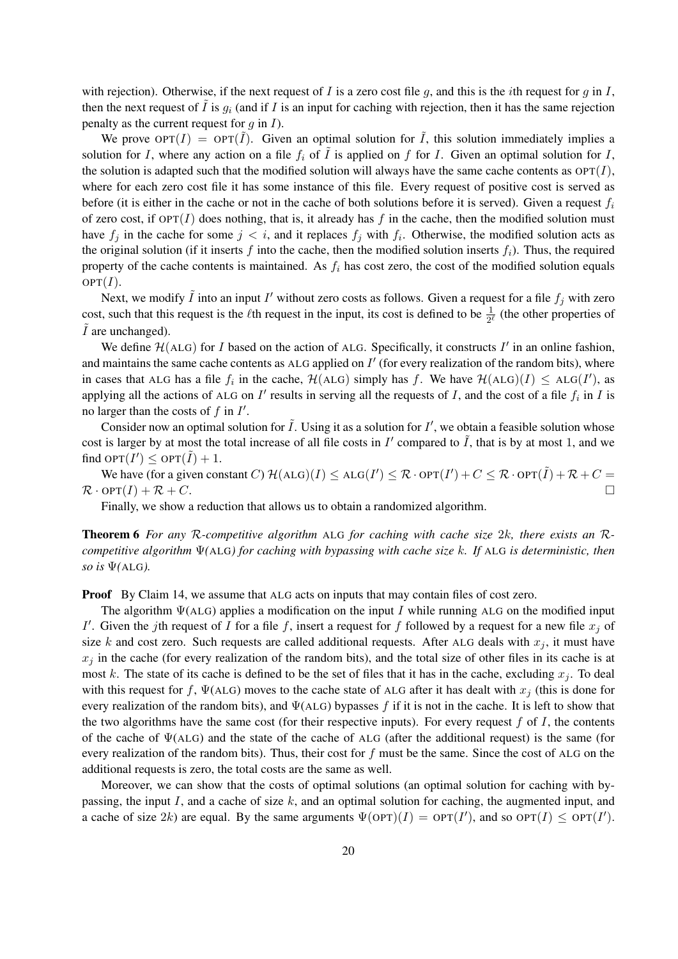with rejection). Otherwise, if the next request of *I* is a zero cost file *g*, and this is the *i*th request for *g* in *I*, then the next request of  $\tilde{I}$  is  $g_i$  (and if  $I$  is an input for caching with rejection, then it has the same rejection penalty as the current request for *g* in *I*).

We prove  $OPT(I) = OPT(\tilde{I})$ . Given an optimal solution for  $\tilde{I}$ , this solution immediately implies a solution for *I*, where any action on a file  $f_i$  of *I* is applied on *f* for *I*. Given an optimal solution for *I*, the solution is adapted such that the modified solution will always have the same cache contents as  $OPT(I)$ , where for each zero cost file it has some instance of this file. Every request of positive cost is served as before (it is either in the cache or not in the cache of both solutions before it is served). Given a request  $f_i$ of zero cost, if  $OPT(I)$  does nothing, that is, it already has  $f$  in the cache, then the modified solution must have  $f_j$  in the cache for some  $j < i$ , and it replaces  $f_j$  with  $f_i$ . Otherwise, the modified solution acts as the original solution (if it inserts  $f$  into the cache, then the modified solution inserts  $f_i$ ). Thus, the required property of the cache contents is maintained. As  $f_i$  has cost zero, the cost of the modified solution equals OPT $(I)$ .

Next, we modify  $\tilde{I}$  into an input  $I'$  without zero costs as follows. Given a request for a file  $f_j$  with zero cost, such that this request is the  $\ell$ th request in the input, its cost is defined to be  $\frac{1}{2^{\ell}}$  (the other properties of  $\tilde{I}$  are unchanged).

We define  $H(ALG)$  for *I* based on the action of ALG. Specifically, it constructs *I'* in an online fashion, and maintains the same cache contents as ALG applied on *I ′* (for every realization of the random bits), where in cases that ALG has a file  $f_i$  in the cache,  $H(ALG)$  simply has  $f$ . We have  $H(ALG)(I) \leq ALG(I')$ , as applying all the actions of ALG on  $I'$  results in serving all the requests of *I*, and the cost of a file  $f_i$  in *I* is no larger than the costs of *f* in *I ′* .

Consider now an optimal solution for  $\tilde{I}$ . Using it as a solution for  $I'$ , we obtain a feasible solution whose cost is larger by at most the total increase of all file costs in  $I'$  compared to  $\tilde{I}$ , that is by at most 1, and we find  $\text{OPT}(I') \leq \text{OPT}(\tilde{I}) + 1$ .

We have (for a given constant *C*)  $\mathcal{H}(\text{ALG})(I) \leq \text{ALG}(I') \leq \mathcal{R} \cdot \text{OPT}(I') + C \leq \mathcal{R} \cdot \text{OPT}(\tilde{I}) + \mathcal{R} + C =$  $R \cdot \text{OPT}(I) + R + C.$ 

Finally, we show a reduction that allows us to obtain a randomized algorithm.

Theorem 6 *For any R-competitive algorithm* ALG *for caching with cache size* 2*k, there exists an Rcompetitive algorithm* Ψ*(*ALG*) for caching with bypassing with cache size k. If* ALG *is deterministic, then so is*  $\Psi$ (ALG).

**Proof** By Claim 14, we assume that ALG acts on inputs that may contain files of cost zero.

The algorithm Ψ(ALG) applies a modification on the input *I* while running ALG on the modified input *I ′* . Given the *j*th request of *I* for a file *f*, insert a request for *f* followed by a request for a new file *x<sup>j</sup>* of size  $k$  and cost zero. Such requests are called additional requests. After ALG deals with  $x_j$ , it must have  $x_i$  in the cache (for every realization of the random bits), and the total size of other files in its cache is at most *k*. The state of its cache is defined to be the set of files that it has in the cache, excluding  $x_j$ . To deal with this request for *f*,  $\Psi$ (ALG) moves to the cache state of ALG after it has dealt with  $x_j$  (this is done for every realization of the random bits), and Ψ(ALG) bypasses *f* if it is not in the cache. It is left to show that the two algorithms have the same cost (for their respective inputs). For every request *f* of *I*, the contents of the cache of  $\Psi$ (ALG) and the state of the cache of ALG (after the additional request) is the same (for every realization of the random bits). Thus, their cost for *f* must be the same. Since the cost of ALG on the additional requests is zero, the total costs are the same as well.

Moreover, we can show that the costs of optimal solutions (an optimal solution for caching with bypassing, the input *I*, and a cache of size *k*, and an optimal solution for caching, the augmented input, and a cache of size 2*k*) are equal. By the same arguments  $\Psi(\text{OPT})(I) = \text{OPT}(I')$ , and so  $\text{OPT}(I) \leq \text{OPT}(I')$ .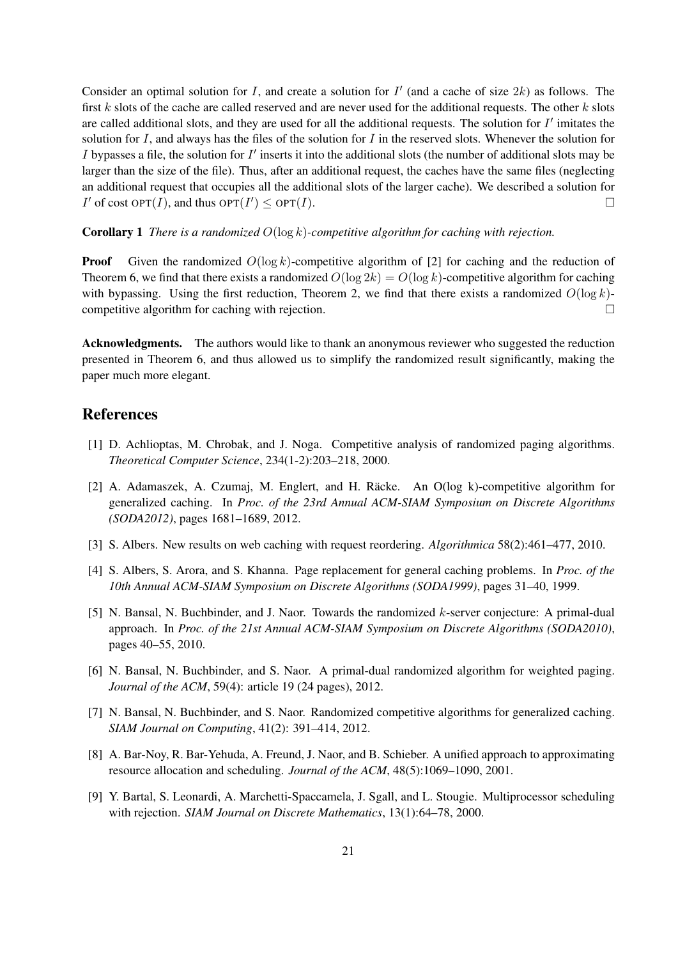Consider an optimal solution for *I*, and create a solution for *I'* (and a cache of size  $2k$ ) as follows. The first *k* slots of the cache are called reserved and are never used for the additional requests. The other *k* slots are called additional slots, and they are used for all the additional requests. The solution for *I ′* imitates the solution for *I*, and always has the files of the solution for *I* in the reserved slots. Whenever the solution for *I* bypasses a file, the solution for *I'* inserts it into the additional slots (the number of additional slots may be larger than the size of the file). Thus, after an additional request, the caches have the same files (neglecting an additional request that occupies all the additional slots of the larger cache). We described a solution for  $I'$  of cost OPT(*I*), and thus OPT(*I'*)  $\leq$  OPT(*I*).

Corollary 1 *There is a randomized O*(log *k*)*-competitive algorithm for caching with rejection.*

**Proof** Given the randomized  $O(\log k)$ -competitive algorithm of [2] for caching and the reduction of Theorem 6, we find that there exists a randomized  $O(\log 2k) = O(\log k)$ -competitive algorithm for caching with bypassing. Using the first reduction, Theorem 2, we find that there exists a randomized  $O(\log k)$ competitive algorithm for caching with rejection.  $\Box$ 

Acknowledgments. The authors would like to thank an anonymous reviewer who suggested the reduction presented in Theorem 6, and thus allowed us to simplify the randomized result significantly, making the paper much more elegant.

## References

- [1] D. Achlioptas, M. Chrobak, and J. Noga. Competitive analysis of randomized paging algorithms. *Theoretical Computer Science*, 234(1-2):203–218, 2000.
- [2] A. Adamaszek, A. Czumaj, M. Englert, and H. Räcke. An O(log k)-competitive algorithm for generalized caching. In *Proc. of the 23rd Annual ACM-SIAM Symposium on Discrete Algorithms (SODA2012)*, pages 1681–1689, 2012.
- [3] S. Albers. New results on web caching with request reordering. *Algorithmica* 58(2):461–477, 2010.
- [4] S. Albers, S. Arora, and S. Khanna. Page replacement for general caching problems. In *Proc. of the 10th Annual ACM-SIAM Symposium on Discrete Algorithms (SODA1999)*, pages 31–40, 1999.
- [5] N. Bansal, N. Buchbinder, and J. Naor. Towards the randomized *k*-server conjecture: A primal-dual approach. In *Proc. of the 21st Annual ACM-SIAM Symposium on Discrete Algorithms (SODA2010)*, pages 40–55, 2010.
- [6] N. Bansal, N. Buchbinder, and S. Naor. A primal-dual randomized algorithm for weighted paging. *Journal of the ACM*, 59(4): article 19 (24 pages), 2012.
- [7] N. Bansal, N. Buchbinder, and S. Naor. Randomized competitive algorithms for generalized caching. *SIAM Journal on Computing*, 41(2): 391–414, 2012.
- [8] A. Bar-Noy, R. Bar-Yehuda, A. Freund, J. Naor, and B. Schieber. A unified approach to approximating resource allocation and scheduling. *Journal of the ACM*, 48(5):1069–1090, 2001.
- [9] Y. Bartal, S. Leonardi, A. Marchetti-Spaccamela, J. Sgall, and L. Stougie. Multiprocessor scheduling with rejection. *SIAM Journal on Discrete Mathematics*, 13(1):64–78, 2000.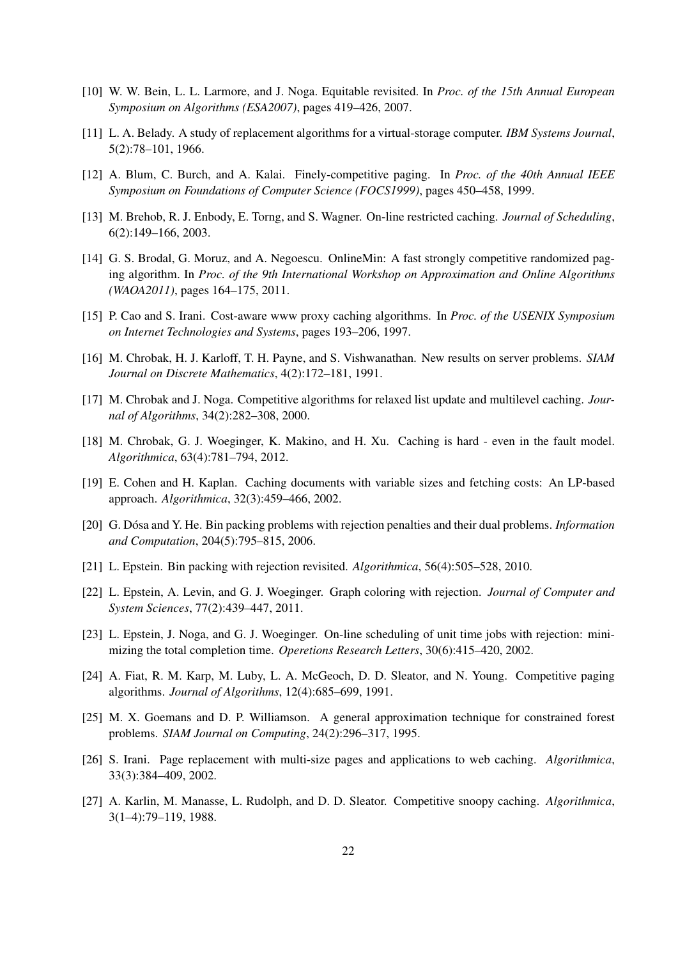- [10] W. W. Bein, L. L. Larmore, and J. Noga. Equitable revisited. In *Proc. of the 15th Annual European Symposium on Algorithms (ESA2007)*, pages 419–426, 2007.
- [11] L. A. Belady. A study of replacement algorithms for a virtual-storage computer. *IBM Systems Journal*, 5(2):78–101, 1966.
- [12] A. Blum, C. Burch, and A. Kalai. Finely-competitive paging. In *Proc. of the 40th Annual IEEE Symposium on Foundations of Computer Science (FOCS1999)*, pages 450–458, 1999.
- [13] M. Brehob, R. J. Enbody, E. Torng, and S. Wagner. On-line restricted caching. *Journal of Scheduling*, 6(2):149–166, 2003.
- [14] G. S. Brodal, G. Moruz, and A. Negoescu. OnlineMin: A fast strongly competitive randomized paging algorithm. In *Proc. of the 9th International Workshop on Approximation and Online Algorithms (WAOA2011)*, pages 164–175, 2011.
- [15] P. Cao and S. Irani. Cost-aware www proxy caching algorithms. In *Proc. of the USENIX Symposium on Internet Technologies and Systems*, pages 193–206, 1997.
- [16] M. Chrobak, H. J. Karloff, T. H. Payne, and S. Vishwanathan. New results on server problems. *SIAM Journal on Discrete Mathematics*, 4(2):172–181, 1991.
- [17] M. Chrobak and J. Noga. Competitive algorithms for relaxed list update and multilevel caching. *Journal of Algorithms*, 34(2):282–308, 2000.
- [18] M. Chrobak, G. J. Woeginger, K. Makino, and H. Xu. Caching is hard even in the fault model. *Algorithmica*, 63(4):781–794, 2012.
- [19] E. Cohen and H. Kaplan. Caching documents with variable sizes and fetching costs: An LP-based approach. *Algorithmica*, 32(3):459–466, 2002.
- [20] G. Dósa and Y. He. Bin packing problems with rejection penalties and their dual problems. *Information and Computation*, 204(5):795–815, 2006.
- [21] L. Epstein. Bin packing with rejection revisited. *Algorithmica*, 56(4):505–528, 2010.
- [22] L. Epstein, A. Levin, and G. J. Woeginger. Graph coloring with rejection. *Journal of Computer and System Sciences*, 77(2):439–447, 2011.
- [23] L. Epstein, J. Noga, and G. J. Woeginger. On-line scheduling of unit time jobs with rejection: minimizing the total completion time. *Operetions Research Letters*, 30(6):415–420, 2002.
- [24] A. Fiat, R. M. Karp, M. Luby, L. A. McGeoch, D. D. Sleator, and N. Young. Competitive paging algorithms. *Journal of Algorithms*, 12(4):685–699, 1991.
- [25] M. X. Goemans and D. P. Williamson. A general approximation technique for constrained forest problems. *SIAM Journal on Computing*, 24(2):296–317, 1995.
- [26] S. Irani. Page replacement with multi-size pages and applications to web caching. *Algorithmica*, 33(3):384–409, 2002.
- [27] A. Karlin, M. Manasse, L. Rudolph, and D. D. Sleator. Competitive snoopy caching. *Algorithmica*, 3(1–4):79–119, 1988.